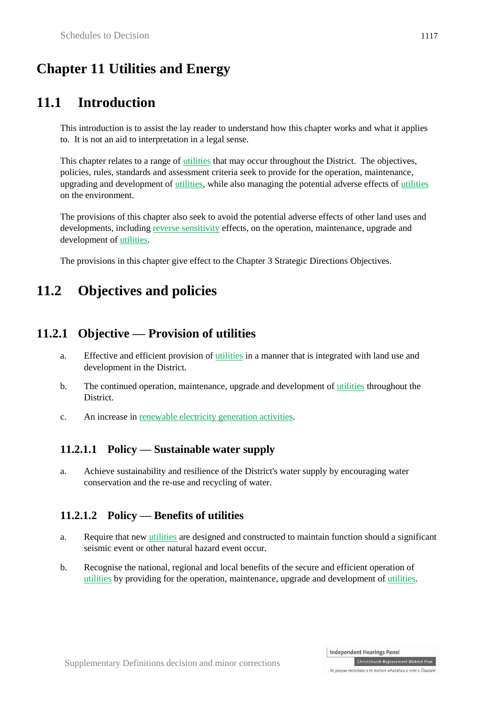# **Chapter 11 Utilities and Energy**

# **11.1 Introduction**

This introduction is to assist the lay reader to understand how this chapter works and what it applies to. It is not an aid to interpretation in a legal sense.

This chapter relates to a range of utilities that may occur throughout the District. The objectives, policies, rules, standards and assessment criteria seek to provide for the operation, maintenance, upgrading and development of utilities, while also managing the potential adverse effects of utilities on the environment.

The provisions of this chapter also seek to avoid the potential adverse effects of other land uses and developments, including reverse sensitivity effects, on the operation, maintenance, upgrade and development of utilities.

The provisions in this chapter give effect to the Chapter 3 Strategic Directions Objectives.

# **11.2 Objectives and policies**

### **11.2.1 Objective — Provision of utilities**

- a. Effective and efficient provision of utilities in a manner that is integrated with land use and development in the District.
- b. The continued operation, maintenance, upgrade and development of utilities throughout the **District**
- c. An increase in renewable electricity generation activities.

#### **11.2.1.1 Policy — Sustainable water supply**

a. Achieve sustainability and resilience of the District's water supply by encouraging water conservation and the re-use and recycling of water.

#### **11.2.1.2 Policy — Benefits of utilities**

- a. Require that new utilities are designed and constructed to maintain function should a significant seismic event or other natural hazard event occur.
- b. Recognise the national, regional and local benefits of the secure and efficient operation of utilities by providing for the operation, maintenance, upgrade and development of utilities.

Christchurch Replacement District Plan Te paepae motuhake o te mahere whakahou a rohe o Ōtautahi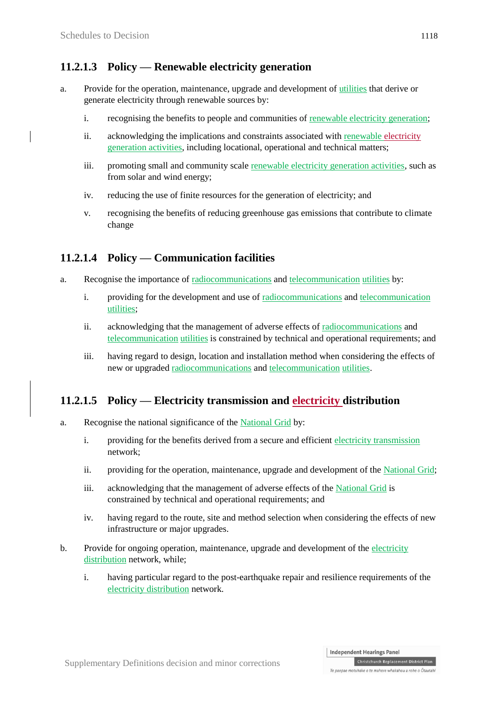#### **11.2.1.3 Policy — Renewable electricity generation**

- a. Provide for the operation, maintenance, upgrade and development of utilities that derive or generate electricity through renewable sources by:
	- i. recognising the benefits to people and communities of renewable electricity generation;
	- ii. acknowledging the implications and constraints associated with renewable electricity generation activities, including locational, operational and technical matters;
	- iii. promoting small and community scale renewable electricity generation activities, such as from solar and wind energy;
	- iv. reducing the use of finite resources for the generation of electricity; and
	- v. recognising the benefits of reducing greenhouse gas emissions that contribute to climate change

#### **11.2.1.4 Policy — Communication facilities**

- a. Recognise the importance of radiocommunications and telecommunication utilities by:
	- i. providing for the development and use of radiocommunications and telecommunication utilities;
	- ii. acknowledging that the management of adverse effects of radiocommunications and telecommunication utilities is constrained by technical and operational requirements; and
	- iii. having regard to design, location and installation method when considering the effects of new or upgraded radiocommunications and telecommunication utilities.

#### **11.2.1.5 Policy — Electricity transmission and electricity distribution**

- a. Recognise the national significance of the National Grid by:
	- i. providing for the benefits derived from a secure and efficient electricity transmission network;
	- ii. providing for the operation, maintenance, upgrade and development of the National Grid;
	- iii. acknowledging that the management of adverse effects of the National Grid is constrained by technical and operational requirements; and
	- iv. having regard to the route, site and method selection when considering the effects of new infrastructure or major upgrades.
- b. Provide for ongoing operation, maintenance, upgrade and development of the electricity distribution network, while;
	- i. having particular regard to the post-earthquake repair and resilience requirements of the electricity distribution network.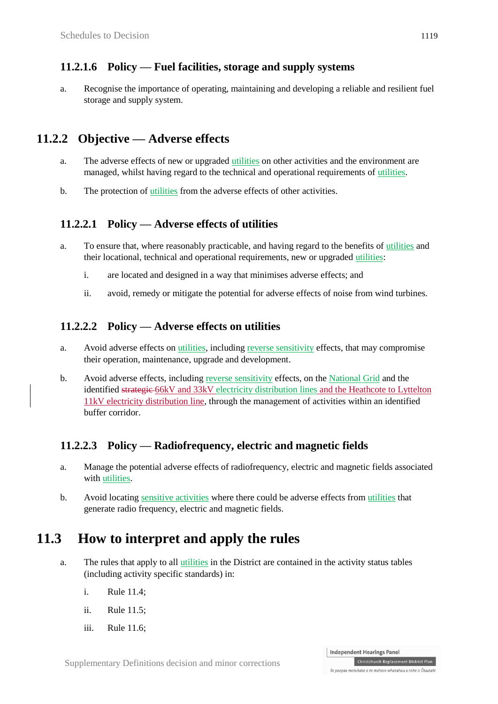#### **11.2.1.6 Policy — Fuel facilities, storage and supply systems**

a. Recognise the importance of operating, maintaining and developing a reliable and resilient fuel storage and supply system.

#### **11.2.2 Objective — Adverse effects**

- a. The adverse effects of new or upgraded utilities on other activities and the environment are managed, whilst having regard to the technical and operational requirements of utilities.
- b. The protection of utilities from the adverse effects of other activities.

#### **11.2.2.1 Policy — Adverse effects of utilities**

- a. To ensure that, where reasonably practicable, and having regard to the benefits of utilities and their locational, technical and operational requirements, new or upgraded utilities:
	- i. are located and designed in a way that minimises adverse effects; and
	- ii. avoid, remedy or mitigate the potential for adverse effects of noise from wind turbines.

#### **11.2.2.2 Policy — Adverse effects on utilities**

- a. Avoid adverse effects on utilities, including reverse sensitivity effects, that may compromise their operation, maintenance, upgrade and development.
- b. Avoid adverse effects, including reverse sensitivity effects, on the National Grid and the identified strategic 66kV and 33kV electricity distribution lines and the Heathcote to Lyttelton 11kV electricity distribution line, through the management of activities within an identified buffer corridor.

#### **11.2.2.3 Policy — Radiofrequency, electric and magnetic fields**

- a. Manage the potential adverse effects of radiofrequency, electric and magnetic fields associated with utilities.
- b. Avoid locating sensitive activities where there could be adverse effects from utilities that generate radio frequency, electric and magnetic fields.

### **11.3 How to interpret and apply the rules**

- a. The rules that apply to all utilities in the District are contained in the activity status tables (including activity specific standards) in:
	- i. Rule 11.4;
	- ii. Rule 11.5;
	- iii. Rule 11.6;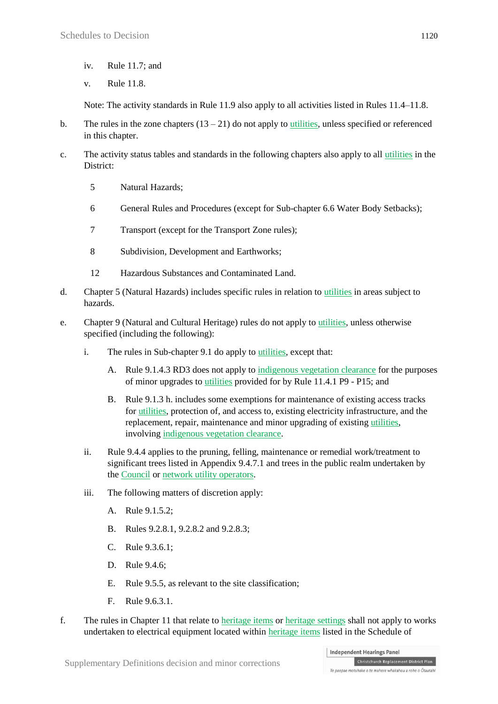- iv. Rule 11.7; and
- v. Rule 11.8.

Note: The activity standards in Rule 11.9 also apply to all activities listed in Rules 11.4–11.8.

- b. The rules in the zone chapters  $(13 21)$  do not apply to utilities, unless specified or referenced in this chapter.
- c. The activity status tables and standards in the following chapters also apply to all utilities in the District:
	- 5 Natural Hazards;
	- 6 General Rules and Procedures (except for Sub-chapter 6.6 Water Body Setbacks);
	- 7 Transport (except for the Transport Zone rules);
	- 8 Subdivision, Development and Earthworks;
	- 12 Hazardous Substances and Contaminated Land.
- d. Chapter 5 (Natural Hazards) includes specific rules in relation to utilities in areas subject to hazards.
- e. Chapter 9 (Natural and Cultural Heritage) rules do not apply to utilities, unless otherwise specified (including the following):
	- i. The rules in Sub-chapter 9.1 do apply to utilities, except that:
		- A. Rule 9.1.4.3 RD3 does not apply to indigenous vegetation clearance for the purposes of minor upgrades to utilities provided for by Rule 11.4.1 P9 - P15; and
		- B. Rule 9.1.3 h. includes some exemptions for maintenance of existing access tracks for utilities, protection of, and access to, existing electricity infrastructure, and the replacement, repair, maintenance and minor upgrading of existing utilities, involving indigenous vegetation clearance.
	- ii. Rule 9.4.4 applies to the pruning, felling, maintenance or remedial work/treatment to significant trees listed in Appendix 9.4.7.1 and trees in the public realm undertaken by the Council or network utility operators.
	- iii. The following matters of discretion apply:
		- A. Rule 9.1.5.2;
		- B. Rules 9.2.8.1, 9.2.8.2 and 9.2.8.3;
		- C. Rule 9.3.6.1;
		- D. Rule 9.4.6;
		- E. Rule 9.5.5, as relevant to the site classification;
		- $F$ . Rule 9.6.3.1.
- f. The rules in Chapter 11 that relate to heritage items or heritage settings shall not apply to works undertaken to electrical equipment located within heritage items listed in the Schedule of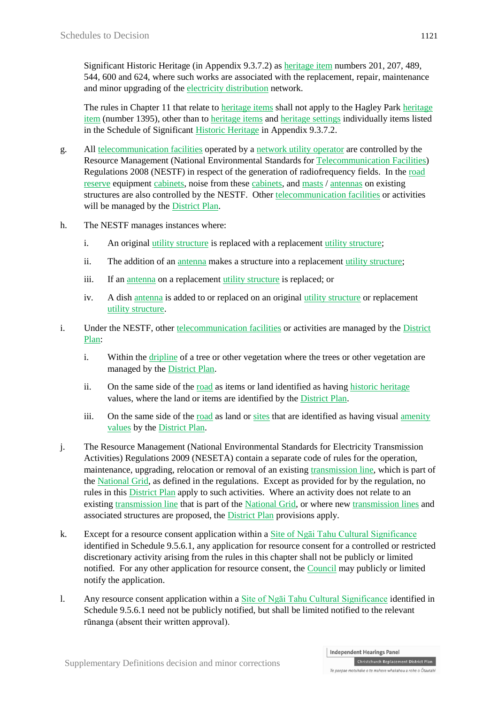Significant Historic Heritage (in Appendix 9.3.7.2) as heritage item numbers 201, 207, 489, 544, 600 and 624, where such works are associated with the replacement, repair, maintenance and minor upgrading of the electricity distribution network.

The rules in Chapter 11 that relate to heritage items shall not apply to the Hagley Park heritage item (number 1395), other than to heritage items and heritage settings individually items listed in the Schedule of Significant Historic Heritage in Appendix 9.3.7.2.

- g. All telecommunication facilities operated by a network utility operator are controlled by the Resource Management (National Environmental Standards for Telecommunication Facilities) Regulations 2008 (NESTF) in respect of the generation of radiofrequency fields. In the road reserve equipment cabinets, noise from these cabinets, and masts / antennas on existing structures are also controlled by the NESTF. Other telecommunication facilities or activities will be managed by the District Plan.
- h. The NESTF manages instances where:
	- i. An original utility structure is replaced with a replacement utility structure;
	- ii. The addition of an antenna makes a structure into a replacement utility structure;
	- iii. If an antenna on a replacement utility structure is replaced; or
	- iv. A dish antenna is added to or replaced on an original utility structure or replacement utility structure.
- i. Under the NESTF, other telecommunication facilities or activities are managed by the District Plan:
	- i. Within the dripline of a tree or other vegetation where the trees or other vegetation are managed by the District Plan.
	- ii. On the same side of the road as items or land identified as having historic heritage values, where the land or items are identified by the District Plan.
	- iii. On the same side of the road as land or sites that are identified as having visual amenity values by the District Plan.
- j. The Resource Management (National Environmental Standards for Electricity Transmission Activities) Regulations 2009 (NESETA) contain a separate code of rules for the operation, maintenance, upgrading, relocation or removal of an existing transmission line, which is part of the National Grid, as defined in the regulations. Except as provided for by the regulation, no rules in this District Plan apply to such activities. Where an activity does not relate to an existing transmission line that is part of the National Grid, or where new transmission lines and associated structures are proposed, the District Plan provisions apply.
- k. Except for a resource consent application within a Site of Ngāi Tahu Cultural Significance identified in Schedule 9.5.6.1, any application for resource consent for a controlled or restricted discretionary activity arising from the rules in this chapter shall not be publicly or limited notified. For any other application for resource consent, the Council may publicly or limited notify the application.
- l. Any resource consent application within a Site of Ngāi Tahu Cultural Significance identified in Schedule 9.5.6.1 need not be publicly notified, but shall be limited notified to the relevant rūnanga (absent their written approval).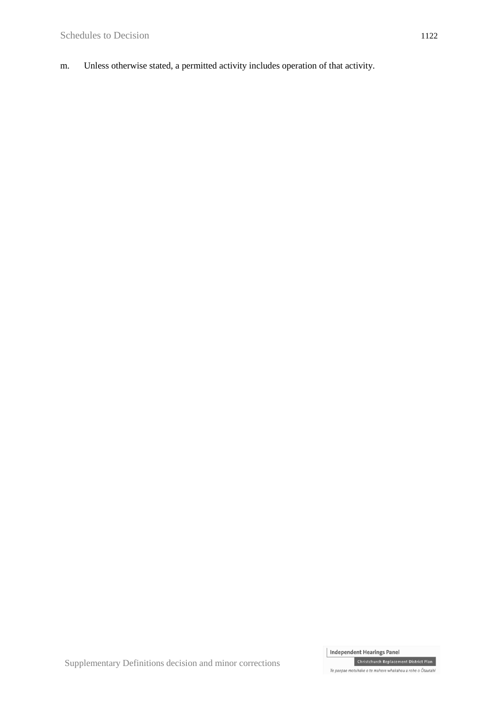m. Unless otherwise stated, a permitted activity includes operation of that activity.

Independent Hearings Panel Christchurch Replacement District Plan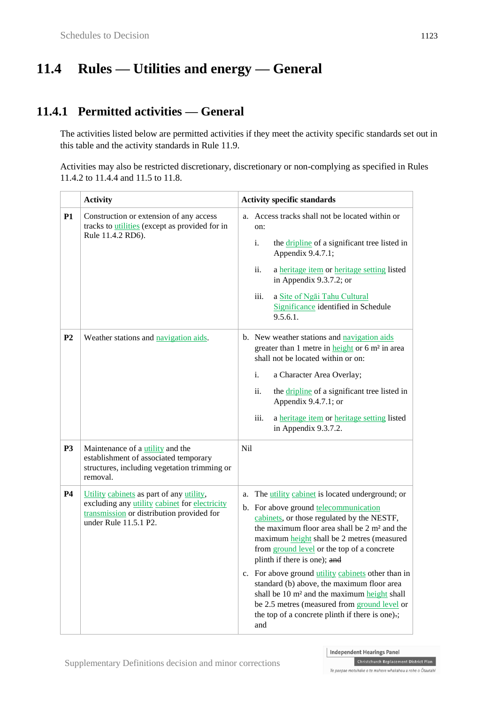# **11.4 Rules — Utilities and energy — General**

### **11.4.1 Permitted activities — General**

The activities listed below are permitted activities if they meet the activity specific standards set out in this table and the activity standards in Rule 11.9.

Activities may also be restricted discretionary, discretionary or non-complying as specified in Rules 11.4.2 to 11.4.4 and 11.5 to 11.8.

|                | <b>Activity</b>                                                                                                                                                 | <b>Activity specific standards</b>                                                                                                                                                                                                                                                                                                                                                                                                                                                                                                                                                                           |
|----------------|-----------------------------------------------------------------------------------------------------------------------------------------------------------------|--------------------------------------------------------------------------------------------------------------------------------------------------------------------------------------------------------------------------------------------------------------------------------------------------------------------------------------------------------------------------------------------------------------------------------------------------------------------------------------------------------------------------------------------------------------------------------------------------------------|
| P1             | Construction or extension of any access<br>tracks to <i>utilities</i> (except as provided for in<br>Rule 11.4.2 RD6).                                           | Access tracks shall not be located within or<br>a.<br>on:<br>i.<br>the <i>dripline</i> of a significant tree listed in<br>Appendix 9.4.7.1;<br>ii.<br>a heritage item or heritage setting listed<br>in Appendix 9.3.7.2; or<br>iii.<br>a Site of Ngai Tahu Cultural<br>Significance identified in Schedule<br>9.5.6.1.                                                                                                                                                                                                                                                                                       |
| P <sub>2</sub> | Weather stations and navigation aids.                                                                                                                           | b. New weather stations and navigation aids<br>greater than 1 metre in height or 6 m <sup>2</sup> in area<br>shall not be located within or on:<br>i.<br>a Character Area Overlay;<br>ii.<br>the <i>dripline</i> of a significant tree listed in<br>Appendix 9.4.7.1; or<br>iii.<br>a heritage item or heritage setting listed<br>in Appendix 9.3.7.2.<br>Nil                                                                                                                                                                                                                                                |
| <b>P3</b>      | Maintenance of a <i>utility</i> and the<br>establishment of associated temporary<br>structures, including vegetation trimming or<br>removal.                    |                                                                                                                                                                                                                                                                                                                                                                                                                                                                                                                                                                                                              |
| <b>P4</b>      | Utility cabinets as part of any utility,<br>excluding any utility cabinet for electricity<br>transmission or distribution provided for<br>under Rule 11.5.1 P2. | The utility cabinet is located underground; or<br>a.<br>b. For above ground telecommunication<br>cabinets, or those regulated by the NESTF,<br>the maximum floor area shall be 2 m <sup>2</sup> and the<br>maximum height shall be 2 metres (measured<br>from ground level or the top of a concrete<br>plinth if there is one); and<br>c. For above ground utility cabinets other than in<br>standard (b) above, the maximum floor area<br>shall be 10 m <sup>2</sup> and the maximum height shall<br>be 2.5 metres (measured from ground level or<br>the top of a concrete plinth if there is one).;<br>and |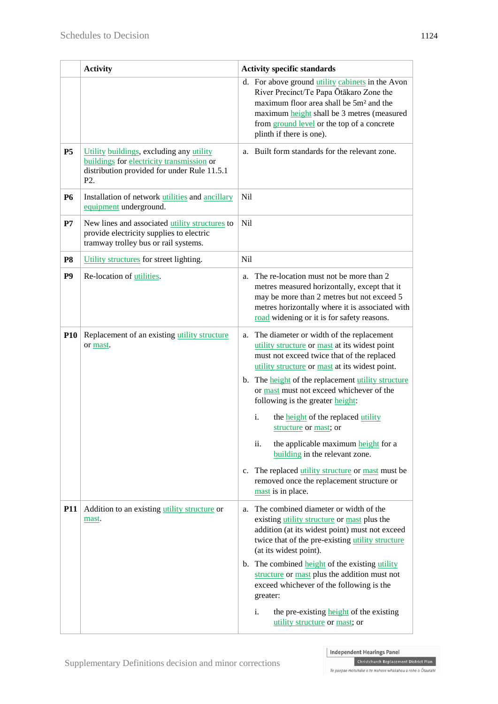|                | <b>Activity</b>                                                                                                                                          | <b>Activity specific standards</b>                                                                                                                                                                                                                                                                                                                                                                                                                                                                                                                                                                                                               |
|----------------|----------------------------------------------------------------------------------------------------------------------------------------------------------|--------------------------------------------------------------------------------------------------------------------------------------------------------------------------------------------------------------------------------------------------------------------------------------------------------------------------------------------------------------------------------------------------------------------------------------------------------------------------------------------------------------------------------------------------------------------------------------------------------------------------------------------------|
|                |                                                                                                                                                          | d. For above ground utility cabinets in the Avon<br>River Precinct/Te Papa Ōtākaro Zone the<br>maximum floor area shall be 5m <sup>2</sup> and the<br>maximum height shall be 3 metres (measured<br>from ground level or the top of a concrete<br>plinth if there is one).                                                                                                                                                                                                                                                                                                                                                                       |
| <b>P5</b>      | Utility buildings, excluding any utility<br>buildings for electricity transmission or<br>distribution provided for under Rule 11.5.1<br>P <sub>2</sub> . | Built form standards for the relevant zone.<br>a.                                                                                                                                                                                                                                                                                                                                                                                                                                                                                                                                                                                                |
| <b>P6</b>      | Installation of network utilities and ancillary<br>equipment underground.                                                                                | Nil                                                                                                                                                                                                                                                                                                                                                                                                                                                                                                                                                                                                                                              |
| P7             | New lines and associated utility structures to<br>provide electricity supplies to electric<br>tramway trolley bus or rail systems.                       | Nil                                                                                                                                                                                                                                                                                                                                                                                                                                                                                                                                                                                                                                              |
| P <sub>8</sub> | Utility structures for street lighting.                                                                                                                  | Nil                                                                                                                                                                                                                                                                                                                                                                                                                                                                                                                                                                                                                                              |
| P <sub>9</sub> | Re-location of utilities.                                                                                                                                | The re-location must not be more than 2<br>a.<br>metres measured horizontally, except that it<br>may be more than 2 metres but not exceed 5<br>metres horizontally where it is associated with<br>road widening or it is for safety reasons.                                                                                                                                                                                                                                                                                                                                                                                                     |
| <b>P10</b>     | Replacement of an existing utility structure<br>or mast.                                                                                                 | The diameter or width of the replacement<br>a.<br>utility structure or mast at its widest point<br>must not exceed twice that of the replaced<br>utility structure or mast at its widest point.<br>b. The height of the replacement utility structure<br>or mast must not exceed whichever of the<br>following is the greater height:<br>$\mathbf{i}$ .<br>the <b>height</b> of the replaced utility<br>structure or mast; or<br>the applicable maximum height for a<br>ii.<br>building in the relevant zone.<br>The replaced utility structure or mast must be<br>$c_{\cdot}$<br>removed once the replacement structure or<br>mast is in place. |
| <b>P11</b>     | Addition to an existing utility structure or<br>mast.                                                                                                    | The combined diameter or width of the<br>a.<br>existing utility structure or mast plus the<br>addition (at its widest point) must not exceed<br>twice that of the pre-existing utility structure<br>(at its widest point).<br>b. The combined <b>height</b> of the existing utility<br>structure or mast plus the addition must not<br>exceed whichever of the following is the<br>greater:<br>i.<br>the pre-existing height of the existing<br>utility structure or mast; or                                                                                                                                                                    |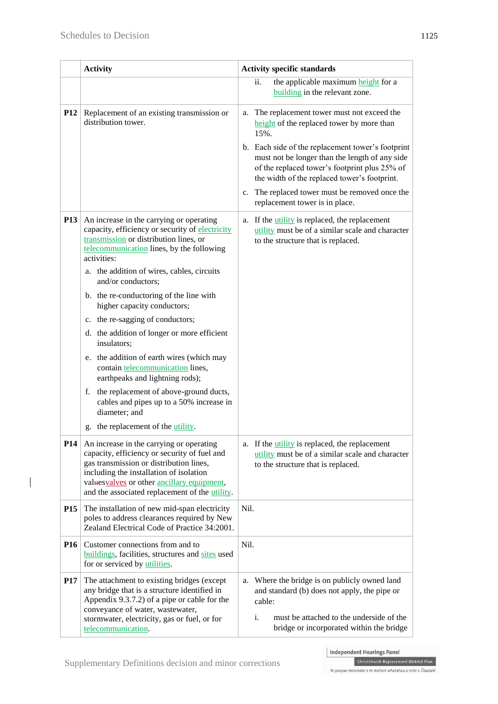$\overline{\phantom{a}}$ 

|                 | <b>Activity</b>                                                                                                                                                                                                                                                                                                                                                                                                                                                                                                                                                                                                                                                                                                                     | <b>Activity specific standards</b>                                                                                                                                                                                                                                                                                                                                                               |  |  |
|-----------------|-------------------------------------------------------------------------------------------------------------------------------------------------------------------------------------------------------------------------------------------------------------------------------------------------------------------------------------------------------------------------------------------------------------------------------------------------------------------------------------------------------------------------------------------------------------------------------------------------------------------------------------------------------------------------------------------------------------------------------------|--------------------------------------------------------------------------------------------------------------------------------------------------------------------------------------------------------------------------------------------------------------------------------------------------------------------------------------------------------------------------------------------------|--|--|
|                 |                                                                                                                                                                                                                                                                                                                                                                                                                                                                                                                                                                                                                                                                                                                                     | ii.<br>the applicable maximum height for a<br>building in the relevant zone.                                                                                                                                                                                                                                                                                                                     |  |  |
| <b>P12</b>      | Replacement of an existing transmission or<br>distribution tower.                                                                                                                                                                                                                                                                                                                                                                                                                                                                                                                                                                                                                                                                   | The replacement tower must not exceed the<br>a.<br>height of the replaced tower by more than<br>15%.<br>b. Each side of the replacement tower's footprint<br>must not be longer than the length of any side<br>of the replaced tower's footprint plus 25% of<br>the width of the replaced tower's footprint.<br>c. The replaced tower must be removed once the<br>replacement tower is in place. |  |  |
| <b>P13</b>      | An increase in the carrying or operating<br>capacity, efficiency or security of electricity<br>transmission or distribution lines, or<br>telecommunication lines, by the following<br>activities:<br>a. the addition of wires, cables, circuits<br>and/or conductors;<br>b. the re-conductoring of the line with<br>higher capacity conductors;<br>c. the re-sagging of conductors;<br>d. the addition of longer or more efficient<br>insulators;<br>e. the addition of earth wires (which may<br>contain telecommunication lines,<br>earthpeaks and lightning rods);<br>the replacement of above-ground ducts,<br>f.<br>cables and pipes up to a 50% increase in<br>diameter; and<br>the replacement of the <i>utility</i> .<br>g. | a. If the <i>utility</i> is replaced, the replacement<br>utility must be of a similar scale and character<br>to the structure that is replaced.                                                                                                                                                                                                                                                  |  |  |
| P <sub>14</sub> | An increase in the carrying or operating<br>capacity, efficiency or security of fuel and<br>gas transmission or distribution lines,<br>including the installation of isolation<br>values valves or other ancillary equipment,<br>and the associated replacement of the utility.                                                                                                                                                                                                                                                                                                                                                                                                                                                     | a. If the <i>utility</i> is replaced, the replacement<br>utility must be of a similar scale and character<br>to the structure that is replaced.                                                                                                                                                                                                                                                  |  |  |
| <b>P15</b>      | The installation of new mid-span electricity<br>poles to address clearances required by New<br>Zealand Electrical Code of Practice 34:2001.                                                                                                                                                                                                                                                                                                                                                                                                                                                                                                                                                                                         | Nil.                                                                                                                                                                                                                                                                                                                                                                                             |  |  |
| <b>P16</b>      | Customer connections from and to<br>buildings, facilities, structures and sites used<br>for or serviced by utilities.                                                                                                                                                                                                                                                                                                                                                                                                                                                                                                                                                                                                               | Nil.                                                                                                                                                                                                                                                                                                                                                                                             |  |  |
| <b>P17</b>      | The attachment to existing bridges (except<br>any bridge that is a structure identified in<br>Appendix 9.3.7.2) of a pipe or cable for the<br>conveyance of water, wastewater,<br>stormwater, electricity, gas or fuel, or for<br>telecommunication.                                                                                                                                                                                                                                                                                                                                                                                                                                                                                | Where the bridge is on publicly owned land<br>a.<br>and standard (b) does not apply, the pipe or<br>cable:<br>i.<br>must be attached to the underside of the<br>bridge or incorporated within the bridge                                                                                                                                                                                         |  |  |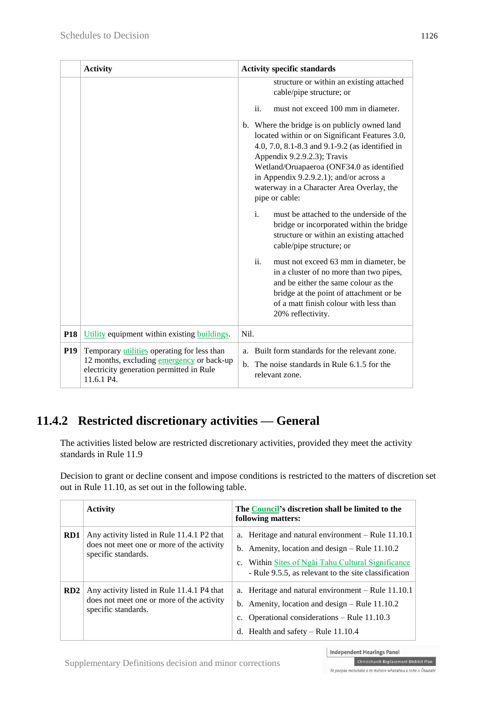|            | <b>Activity</b>                                                                                                                                    | <b>Activity specific standards</b> |     |                                                                                                                                                                                                                                                                                                                                          |
|------------|----------------------------------------------------------------------------------------------------------------------------------------------------|------------------------------------|-----|------------------------------------------------------------------------------------------------------------------------------------------------------------------------------------------------------------------------------------------------------------------------------------------------------------------------------------------|
|            |                                                                                                                                                    |                                    |     | structure or within an existing attached<br>cable/pipe structure; or                                                                                                                                                                                                                                                                     |
|            |                                                                                                                                                    |                                    | ii. | must not exceed 100 mm in diameter.                                                                                                                                                                                                                                                                                                      |
|            |                                                                                                                                                    |                                    |     | b. Where the bridge is on publicly owned land<br>located within or on Significant Features 3.0,<br>4.0, 7.0, 8.1-8.3 and 9.1-9.2 (as identified in<br>Appendix 9.2.9.2.3); Travis<br>Wetland/Oruapaeroa (ONF34.0 as identified<br>in Appendix 9.2.9.2.1); and/or across a<br>waterway in a Character Area Overlay, the<br>pipe or cable: |
|            |                                                                                                                                                    |                                    | i.  | must be attached to the underside of the<br>bridge or incorporated within the bridge<br>structure or within an existing attached<br>cable/pipe structure; or                                                                                                                                                                             |
|            |                                                                                                                                                    |                                    | ii. | must not exceed 63 mm in diameter, be<br>in a cluster of no more than two pipes,<br>and be either the same colour as the<br>bridge at the point of attachment or be<br>of a matt finish colour with less than<br>20% reflectivity.                                                                                                       |
| <b>P18</b> | Utility equipment within existing buildings.                                                                                                       | Nil.                               |     |                                                                                                                                                                                                                                                                                                                                          |
| <b>P19</b> | Temporary utilities operating for less than<br>12 months, excluding emergency or back-up<br>electricity generation permitted in Rule<br>11.6.1 P4. | a <sub>1</sub>                     |     | Built form standards for the relevant zone.<br>b. The noise standards in Rule 6.1.5 for the<br>relevant zone.                                                                                                                                                                                                                            |

### **11.4.2 Restricted discretionary activities — General**

The activities listed below are restricted discretionary activities, provided they meet the activity standards in Rule 11.9

Decision to grant or decline consent and impose conditions is restricted to the matters of discretion set out in Rule 11.10, as set out in the following table.

|                 | <b>Activity</b>                                                                                                | The Council's discretion shall be limited to the<br>following matters:                                                                                                                                                 |
|-----------------|----------------------------------------------------------------------------------------------------------------|------------------------------------------------------------------------------------------------------------------------------------------------------------------------------------------------------------------------|
| RD <sub>1</sub> | Any activity listed in Rule 11.4.1 P2 that<br>does not meet one or more of the activity<br>specific standards. | a. Heritage and natural environment $-$ Rule 11.10.1<br>b. Amenity, location and design $-$ Rule 11.10.2<br>c. Within Sites of Ngai Tahu Cultural Significance<br>- Rule 9.5.5, as relevant to the site classification |
| RD2             | Any activity listed in Rule 11.4.1 P4 that<br>does not meet one or more of the activity<br>specific standards. | a. Heritage and natural environment $-$ Rule 11.10.1<br>b. Amenity, location and design $-$ Rule 11.10.2<br>c. Operational considerations – Rule $11.10.3$<br>d. Health and safety $-$ Rule 11.10.4                    |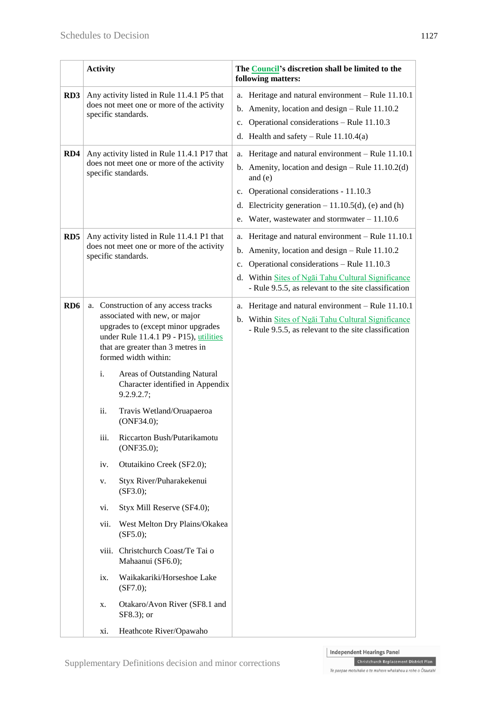|                 | <b>Activity</b>                                                                                                 |                                                                                                                                                                                                                                                                                                                                                                                                                                                                                                                                                                                                                                                                                                                            | The Council's discretion shall be limited to the<br>following matters:                                                                                                                                                                                                           |
|-----------------|-----------------------------------------------------------------------------------------------------------------|----------------------------------------------------------------------------------------------------------------------------------------------------------------------------------------------------------------------------------------------------------------------------------------------------------------------------------------------------------------------------------------------------------------------------------------------------------------------------------------------------------------------------------------------------------------------------------------------------------------------------------------------------------------------------------------------------------------------------|----------------------------------------------------------------------------------------------------------------------------------------------------------------------------------------------------------------------------------------------------------------------------------|
| RD3             | Any activity listed in Rule 11.4.1 P5 that<br>does not meet one or more of the activity<br>specific standards.  |                                                                                                                                                                                                                                                                                                                                                                                                                                                                                                                                                                                                                                                                                                                            | a. Heritage and natural environment - Rule 11.10.1<br>b. Amenity, location and design $-$ Rule 11.10.2<br>Operational considerations - Rule 11.10.3<br>$c_{\cdot}$<br>d. Health and safety – Rule $11.10.4(a)$                                                                   |
| RD4             | Any activity listed in Rule 11.4.1 P17 that<br>does not meet one or more of the activity<br>specific standards. |                                                                                                                                                                                                                                                                                                                                                                                                                                                                                                                                                                                                                                                                                                                            | a. Heritage and natural environment - Rule 11.10.1<br>b. Amenity, location and design $-$ Rule 11.10.2(d)<br>and $(e)$<br>c. Operational considerations - 11.10.3<br>d. Electricity generation $-11.10.5(d)$ , (e) and (h)<br>e. Water, wastewater and stormwater $-11.10.6$     |
| RD5             | Any activity listed in Rule 11.4.1 P1 that<br>does not meet one or more of the activity<br>specific standards.  |                                                                                                                                                                                                                                                                                                                                                                                                                                                                                                                                                                                                                                                                                                                            | a. Heritage and natural environment - Rule 11.10.1<br>b. Amenity, location and design $-$ Rule 11.10.2<br>Operational considerations - Rule 11.10.3<br>$c_{\cdot}$<br>d. Within Sites of Ngai Tahu Cultural Significance<br>- Rule 9.5.5, as relevant to the site classification |
| RD <sub>6</sub> | i.<br>ii.<br>iii.<br>iv.<br>V.<br>vi.<br>vii.<br>ix.<br>X.                                                      | a. Construction of any access tracks<br>associated with new, or major<br>upgrades to (except minor upgrades<br>under Rule 11.4.1 P9 - P15), utilities<br>that are greater than 3 metres in<br>formed width within:<br>Areas of Outstanding Natural<br>Character identified in Appendix<br>9.2.9.2.7;<br>Travis Wetland/Oruapaeroa<br>(ONF34.0);<br>Riccarton Bush/Putarikamotu<br>(ONF35.0);<br>Otutaikino Creek (SF2.0);<br>Styx River/Puharakekenui<br>(SF3.0);<br>Styx Mill Reserve (SF4.0);<br>West Melton Dry Plains/Okakea<br>(SF5.0);<br>viii. Christchurch Coast/Te Tai o<br>Mahaanui (SF6.0);<br>Waikakariki/Horseshoe Lake<br>(SF7.0);<br>Otakaro/Avon River (SF8.1 and<br>SF8.3); or<br>Heathcote River/Opawaho | a. Heritage and natural environment - Rule 11.10.1<br>b. Within Sites of Ngai Tahu Cultural Significance<br>- Rule 9.5.5, as relevant to the site classification                                                                                                                 |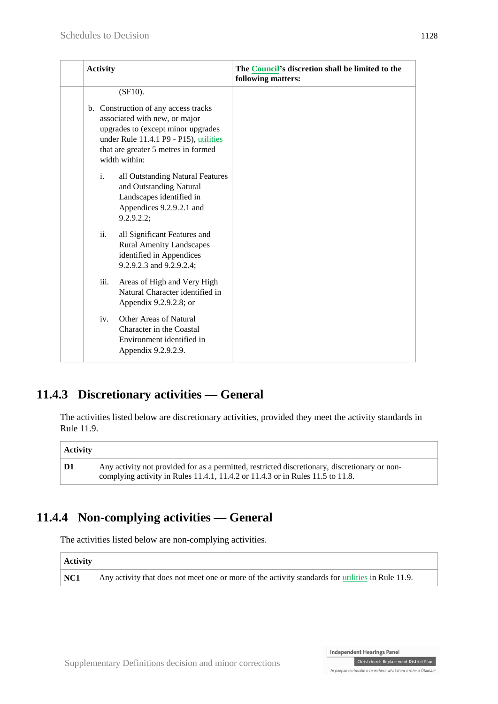|  | <b>Activity</b>                                                                                                                                                                                                             |                                                                                                                                   | The Council's discretion shall be limited to the<br>following matters: |
|--|-----------------------------------------------------------------------------------------------------------------------------------------------------------------------------------------------------------------------------|-----------------------------------------------------------------------------------------------------------------------------------|------------------------------------------------------------------------|
|  | $(SF10)$ .<br>b. Construction of any access tracks<br>associated with new, or major<br>upgrades to (except minor upgrades<br>under Rule 11.4.1 P9 - P15), utilities<br>that are greater 5 metres in formed<br>width within: |                                                                                                                                   |                                                                        |
|  |                                                                                                                                                                                                                             |                                                                                                                                   |                                                                        |
|  | $\mathbf{i}$ .                                                                                                                                                                                                              | all Outstanding Natural Features<br>and Outstanding Natural<br>Landscapes identified in<br>Appendices 9.2.9.2.1 and<br>9.2.9.2.2; |                                                                        |
|  | ii.                                                                                                                                                                                                                         | all Significant Features and<br><b>Rural Amenity Landscapes</b><br>identified in Appendices<br>9.2.9.2.3 and 9.2.9.2.4;           |                                                                        |
|  | iii.                                                                                                                                                                                                                        | Areas of High and Very High<br>Natural Character identified in<br>Appendix 9.2.9.2.8; or                                          |                                                                        |
|  | iv.                                                                                                                                                                                                                         | Other Areas of Natural<br>Character in the Coastal<br>Environment identified in<br>Appendix 9.2.9.2.9.                            |                                                                        |

### **11.4.3 Discretionary activities — General**

The activities listed below are discretionary activities, provided they meet the activity standards in Rule 11.9.

| Activity |                                                                                                                                                                                 |  |
|----------|---------------------------------------------------------------------------------------------------------------------------------------------------------------------------------|--|
| D1       | Any activity not provided for as a permitted, restricted discretionary, discretionary or non-<br>complying activity in Rules 11.4.1, 11.4.2 or 11.4.3 or in Rules 11.5 to 11.8. |  |

### **11.4.4 Non-complying activities — General**

The activities listed below are non-complying activities.

| Activity    |                                                                                                   |  |
|-------------|---------------------------------------------------------------------------------------------------|--|
| $\vert$ NC1 | Any activity that does not meet one or more of the activity standards for utilities in Rule 11.9. |  |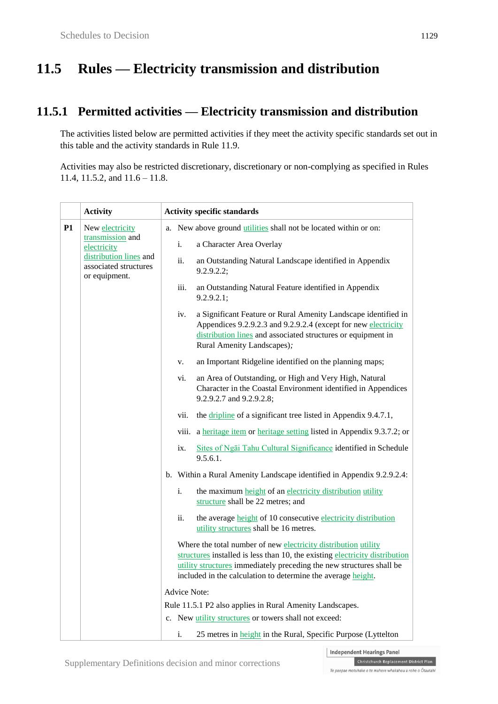# **11.5 Rules — Electricity transmission and distribution**

### **11.5.1 Permitted activities — Electricity transmission and distribution**

The activities listed below are permitted activities if they meet the activity specific standards set out in this table and the activity standards in Rule 11.9.

Activities may also be restricted discretionary, discretionary or non-complying as specified in Rules 11.4, 11.5.2, and 11.6 – 11.8.

|    | <b>Activity</b>                                                                                     | <b>Activity specific standards</b> |                                                                                                                                                                                                                                                                                       |
|----|-----------------------------------------------------------------------------------------------------|------------------------------------|---------------------------------------------------------------------------------------------------------------------------------------------------------------------------------------------------------------------------------------------------------------------------------------|
| P1 | New electricity                                                                                     | a.                                 | New above ground <i>utilities</i> shall not be located within or on:                                                                                                                                                                                                                  |
|    | transmission and<br>electricity<br>distribution lines and<br>associated structures<br>or equipment. | i.                                 | a Character Area Overlay                                                                                                                                                                                                                                                              |
|    |                                                                                                     | ii.                                | an Outstanding Natural Landscape identified in Appendix<br>9.2.9.2.2;                                                                                                                                                                                                                 |
|    |                                                                                                     | iii.                               | an Outstanding Natural Feature identified in Appendix<br>9.2.9.2.1;                                                                                                                                                                                                                   |
|    |                                                                                                     | iv.                                | a Significant Feature or Rural Amenity Landscape identified in<br>Appendices 9.2.9.2.3 and 9.2.9.2.4 (except for new electricity<br>distribution lines and associated structures or equipment in<br>Rural Amenity Landscapes);                                                        |
|    |                                                                                                     | v.                                 | an Important Ridgeline identified on the planning maps;                                                                                                                                                                                                                               |
|    |                                                                                                     | vi.                                | an Area of Outstanding, or High and Very High, Natural<br>Character in the Coastal Environment identified in Appendices<br>9.2.9.2.7 and 9.2.9.2.8;                                                                                                                                   |
|    |                                                                                                     | vii.                               | the dripline of a significant tree listed in Appendix 9.4.7.1,                                                                                                                                                                                                                        |
|    |                                                                                                     |                                    | viii. a heritage item or heritage setting listed in Appendix 9.3.7.2; or                                                                                                                                                                                                              |
|    |                                                                                                     | ix.                                | Sites of Ngai Tahu Cultural Significance identified in Schedule<br>9.5.6.1.                                                                                                                                                                                                           |
|    |                                                                                                     |                                    | b. Within a Rural Amenity Landscape identified in Appendix 9.2.9.2.4:                                                                                                                                                                                                                 |
|    |                                                                                                     | i.                                 | the maximum height of an electricity distribution utility<br>structure shall be 22 metres; and                                                                                                                                                                                        |
|    |                                                                                                     | ii.                                | the average height of 10 consecutive electricity distribution<br>utility structures shall be 16 metres.                                                                                                                                                                               |
|    |                                                                                                     |                                    | Where the total number of new electricity distribution utility<br>structures installed is less than 10, the existing electricity distribution<br>utility structures immediately preceding the new structures shall be<br>included in the calculation to determine the average height. |
|    |                                                                                                     | Advice Note:                       |                                                                                                                                                                                                                                                                                       |
|    |                                                                                                     |                                    | Rule 11.5.1 P2 also applies in Rural Amenity Landscapes.                                                                                                                                                                                                                              |
|    |                                                                                                     |                                    | c. New utility structures or towers shall not exceed:                                                                                                                                                                                                                                 |
|    |                                                                                                     | i.                                 | 25 metres in <b>height</b> in the Rural, Specific Purpose (Lyttelton                                                                                                                                                                                                                  |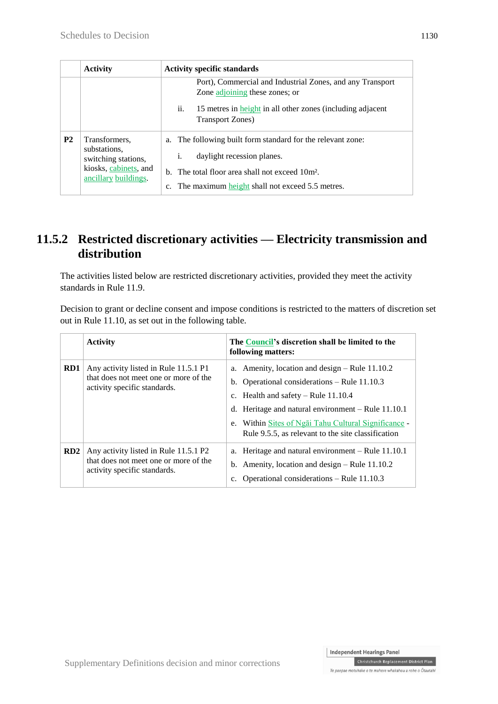|                | <b>Activity</b>                                                                                       | <b>Activity specific standards</b>                                                                                                                                                                                         |  |
|----------------|-------------------------------------------------------------------------------------------------------|----------------------------------------------------------------------------------------------------------------------------------------------------------------------------------------------------------------------------|--|
|                |                                                                                                       | Port), Commercial and Industrial Zones, and any Transport<br>Zone adjoining these zones; or                                                                                                                                |  |
|                |                                                                                                       | ii.<br>15 metres in height in all other zones (including adjacent<br><b>Transport Zones</b> )                                                                                                                              |  |
| P <sub>2</sub> | Transformers.<br>substations,<br>switching stations,<br>kiosks, cabinets, and<br>ancillary buildings. | The following built form standard for the relevant zone:<br>a.<br>daylight recession planes.<br>i.<br>b. The total floor area shall not exceed 10m <sup>2</sup> .<br>The maximum height shall not exceed 5.5 metres.<br>c. |  |

### **11.5.2 Restricted discretionary activities — Electricity transmission and distribution**

The activities listed below are restricted discretionary activities, provided they meet the activity standards in Rule 11.9.

Decision to grant or decline consent and impose conditions is restricted to the matters of discretion set out in Rule 11.10, as set out in the following table.

|     | <b>Activity</b>                                                                                                | The Council's discretion shall be limited to the<br>following matters:                                                                                                                                                                                                                                              |
|-----|----------------------------------------------------------------------------------------------------------------|---------------------------------------------------------------------------------------------------------------------------------------------------------------------------------------------------------------------------------------------------------------------------------------------------------------------|
| RD1 | Any activity listed in Rule 11.5.1 P1<br>that does not meet one or more of the<br>activity specific standards. | a. Amenity, location and design $-$ Rule 11.10.2<br>b. Operational considerations $-$ Rule 11.10.3<br>c. Health and safety $-$ Rule 11.10.4<br>Heritage and natural environment – Rule 11.10.1<br>d.<br>Within Sites of Ngai Tahu Cultural Significance<br>e.<br>Rule 9.5.5, as relevant to the site classification |
| RD2 | Any activity listed in Rule 11.5.1 P2<br>that does not meet one or more of the<br>activity specific standards. | a. Heritage and natural environment – Rule 11.10.1<br>b. Amenity, location and design $-$ Rule 11.10.2<br>Operational considerations – Rule 11.10.3<br>c.                                                                                                                                                           |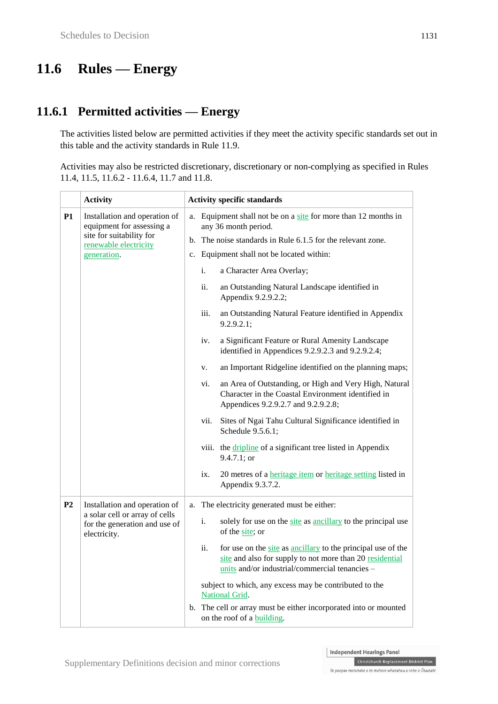# **11.6 Rules — Energy**

### **11.6.1 Permitted activities — Energy**

The activities listed below are permitted activities if they meet the activity specific standards set out in this table and the activity standards in Rule 11.9.

Activities may also be restricted discretionary, discretionary or non-complying as specified in Rules 11.4, 11.5, 11.6.2 - 11.6.4, 11.7 and 11.8.

|           | <b>Activity</b>                                                                                                                |          |           | <b>Activity specific standards</b>                                                                                                                                                                                                                                          |
|-----------|--------------------------------------------------------------------------------------------------------------------------------|----------|-----------|-----------------------------------------------------------------------------------------------------------------------------------------------------------------------------------------------------------------------------------------------------------------------------|
| P1        | Installation and operation of<br>equipment for assessing a<br>site for suitability for<br>renewable electricity<br>generation. | a.<br>c. | i.<br>ii. | Equipment shall not be on a site for more than 12 months in<br>any 36 month period.<br>b. The noise standards in Rule 6.1.5 for the relevant zone.<br>Equipment shall not be located within:<br>a Character Area Overlay;<br>an Outstanding Natural Landscape identified in |
|           |                                                                                                                                |          | iii.      | Appendix 9.2.9.2.2;<br>an Outstanding Natural Feature identified in Appendix<br>9.2.9.2.1;                                                                                                                                                                                  |
|           |                                                                                                                                |          | iv.       | a Significant Feature or Rural Amenity Landscape<br>identified in Appendices 9.2.9.2.3 and 9.2.9.2.4;                                                                                                                                                                       |
|           |                                                                                                                                |          | V.        | an Important Ridgeline identified on the planning maps;                                                                                                                                                                                                                     |
|           |                                                                                                                                |          | vi.       | an Area of Outstanding, or High and Very High, Natural<br>Character in the Coastal Environment identified in<br>Appendices 9.2.9.2.7 and 9.2.9.2.8;                                                                                                                         |
|           |                                                                                                                                |          | vii.      | Sites of Ngai Tahu Cultural Significance identified in<br>Schedule 9.5.6.1;                                                                                                                                                                                                 |
|           |                                                                                                                                |          |           | viii. the dripline of a significant tree listed in Appendix<br>9.4.7.1; or                                                                                                                                                                                                  |
|           |                                                                                                                                |          | ix.       | 20 metres of a heritage item or heritage setting listed in<br>Appendix 9.3.7.2.                                                                                                                                                                                             |
| <b>P2</b> | Installation and operation of                                                                                                  | a.       |           | The electricity generated must be either:                                                                                                                                                                                                                                   |
|           | a solar cell or array of cells<br>for the generation and use of<br>electricity.                                                |          | i.        | solely for use on the site as ancillary to the principal use<br>of the site; or                                                                                                                                                                                             |
|           |                                                                                                                                |          | ii.       | for use on the site as ancillary to the principal use of the<br>site and also for supply to not more than 20 residential<br>units and/or industrial/commercial tenancies -                                                                                                  |
|           |                                                                                                                                |          |           | subject to which, any excess may be contributed to the<br>National Grid.                                                                                                                                                                                                    |
|           |                                                                                                                                |          |           | b. The cell or array must be either incorporated into or mounted<br>on the roof of a building.                                                                                                                                                                              |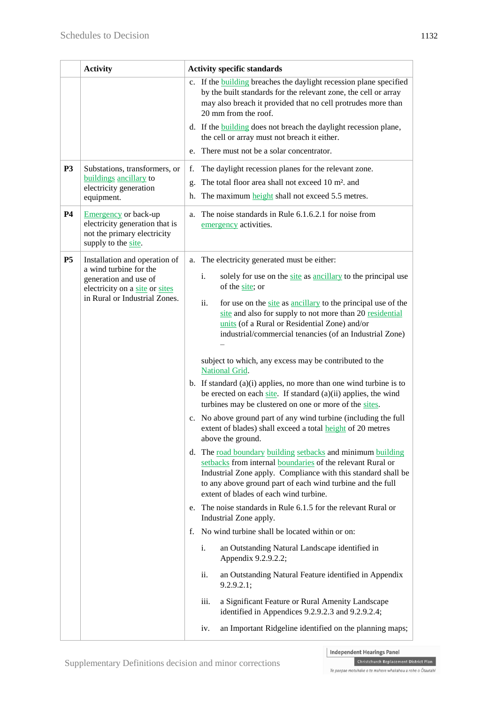|           | <b>Activity</b>                                                                                                                                     | <b>Activity specific standards</b>                                                                                                                                                                                                                                                                                                                                                                                                                                                                                                                                                                                                                                                                                                                                                                                                                                                                                                                                                                                                                                                                                                                                                                                                |  |
|-----------|-----------------------------------------------------------------------------------------------------------------------------------------------------|-----------------------------------------------------------------------------------------------------------------------------------------------------------------------------------------------------------------------------------------------------------------------------------------------------------------------------------------------------------------------------------------------------------------------------------------------------------------------------------------------------------------------------------------------------------------------------------------------------------------------------------------------------------------------------------------------------------------------------------------------------------------------------------------------------------------------------------------------------------------------------------------------------------------------------------------------------------------------------------------------------------------------------------------------------------------------------------------------------------------------------------------------------------------------------------------------------------------------------------|--|
|           |                                                                                                                                                     | c. If the <b>building</b> breaches the daylight recession plane specified<br>by the built standards for the relevant zone, the cell or array<br>may also breach it provided that no cell protrudes more than<br>20 mm from the roof.                                                                                                                                                                                                                                                                                                                                                                                                                                                                                                                                                                                                                                                                                                                                                                                                                                                                                                                                                                                              |  |
|           |                                                                                                                                                     | d. If the <b>building</b> does not breach the daylight recession plane,<br>the cell or array must not breach it either.                                                                                                                                                                                                                                                                                                                                                                                                                                                                                                                                                                                                                                                                                                                                                                                                                                                                                                                                                                                                                                                                                                           |  |
|           |                                                                                                                                                     | There must not be a solar concentrator.<br>e.                                                                                                                                                                                                                                                                                                                                                                                                                                                                                                                                                                                                                                                                                                                                                                                                                                                                                                                                                                                                                                                                                                                                                                                     |  |
| <b>P3</b> | Substations, transformers, or<br>buildings ancillary to<br>electricity generation<br>equipment.                                                     | The daylight recession planes for the relevant zone.<br>f.<br>The total floor area shall not exceed 10 m <sup>2</sup> . and<br>g.<br>The maximum height shall not exceed 5.5 metres.<br>h.                                                                                                                                                                                                                                                                                                                                                                                                                                                                                                                                                                                                                                                                                                                                                                                                                                                                                                                                                                                                                                        |  |
| <b>P4</b> | <b>Emergency</b> or back-up<br>electricity generation that is<br>not the primary electricity<br>supply to the site.                                 | The noise standards in Rule 6.1.6.2.1 for noise from<br>a.<br>emergency activities.                                                                                                                                                                                                                                                                                                                                                                                                                                                                                                                                                                                                                                                                                                                                                                                                                                                                                                                                                                                                                                                                                                                                               |  |
| <b>P5</b> | Installation and operation of<br>a wind turbine for the<br>generation and use of<br>electricity on a site or sites<br>in Rural or Industrial Zones. | The electricity generated must be either:<br>a.<br>solely for use on the site as ancillary to the principal use<br>i.<br>of the site; or<br>ii.<br>for use on the site as ancillary to the principal use of the<br>site and also for supply to not more than 20 residential<br>units (of a Rural or Residential Zone) and/or<br>industrial/commercial tenancies (of an Industrial Zone)<br>subject to which, any excess may be contributed to the<br>National Grid.<br>b. If standard $(a)(i)$ applies, no more than one wind turbine is to<br>be erected on each site. If standard $(a)(ii)$ applies, the wind<br>turbines may be clustered on one or more of the sites.<br>c. No above ground part of any wind turbine (including the full<br>extent of blades) shall exceed a total height of 20 metres<br>above the ground.<br>d. The road boundary building setbacks and minimum building<br>setbacks from internal boundaries of the relevant Rural or<br>Industrial Zone apply. Compliance with this standard shall be<br>to any above ground part of each wind turbine and the full<br>extent of blades of each wind turbine.<br>e. The noise standards in Rule 6.1.5 for the relevant Rural or<br>Industrial Zone apply. |  |
|           |                                                                                                                                                     | No wind turbine shall be located within or on:<br>f.<br>i.<br>an Outstanding Natural Landscape identified in<br>Appendix 9.2.9.2.2;<br>an Outstanding Natural Feature identified in Appendix<br>ii.<br>9.2.9.2.1;<br>a Significant Feature or Rural Amenity Landscape<br>iii.<br>identified in Appendices 9.2.9.2.3 and 9.2.9.2.4;<br>an Important Ridgeline identified on the planning maps;<br>iv.                                                                                                                                                                                                                                                                                                                                                                                                                                                                                                                                                                                                                                                                                                                                                                                                                              |  |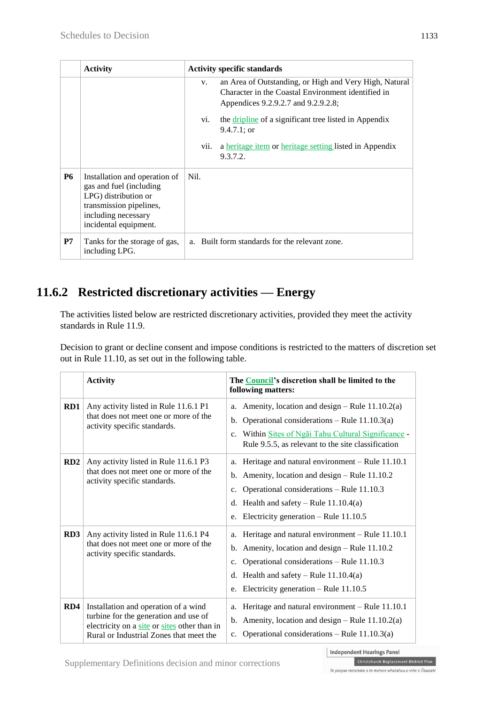|           | <b>Activity</b>                                                                                                                                              | <b>Activity specific standards</b>                                                                                                                        |
|-----------|--------------------------------------------------------------------------------------------------------------------------------------------------------------|-----------------------------------------------------------------------------------------------------------------------------------------------------------|
|           |                                                                                                                                                              | an Area of Outstanding, or High and Very High, Natural<br>V.<br>Character in the Coastal Environment identified in<br>Appendices 9.2.9.2.7 and 9.2.9.2.8; |
|           |                                                                                                                                                              | the dripline of a significant tree listed in Appendix<br>V1.<br>$9.4.7.1$ ; or                                                                            |
|           |                                                                                                                                                              | a heritage item or heritage setting listed in Appendix<br>vii.<br>9.3.7.2.                                                                                |
| <b>P6</b> | Installation and operation of<br>gas and fuel (including)<br>LPG) distribution or<br>transmission pipelines,<br>including necessary<br>incidental equipment. | Nil.                                                                                                                                                      |
| P7        | Tanks for the storage of gas,<br>including LPG.                                                                                                              | a. Built form standards for the relevant zone.                                                                                                            |

### **11.6.2 Restricted discretionary activities — Energy**

The activities listed below are restricted discretionary activities, provided they meet the activity standards in Rule 11.9.

Decision to grant or decline consent and impose conditions is restricted to the matters of discretion set out in Rule 11.10, as set out in the following table.

|     | <b>Activity</b>                                                                                                                                                          | The Council's discretion shall be limited to the<br>following matters:                                                                                                                                                                                          |
|-----|--------------------------------------------------------------------------------------------------------------------------------------------------------------------------|-----------------------------------------------------------------------------------------------------------------------------------------------------------------------------------------------------------------------------------------------------------------|
| RD1 | Any activity listed in Rule 11.6.1 P1<br>that does not meet one or more of the<br>activity specific standards.                                                           | Amenity, location and design – Rule $11.10.2(a)$<br>a.<br>Operational considerations – Rule $11.10.3(a)$<br>$b_{\cdot}$<br>Within Sites of Ngai Tahu Cultural Significance -<br>$c_{\cdot}$<br>Rule 9.5.5, as relevant to the site classification               |
| RD2 | Any activity listed in Rule 11.6.1 P3<br>that does not meet one or more of the<br>activity specific standards.                                                           | a. Heritage and natural environment - Rule 11.10.1<br>b. Amenity, location and design $-$ Rule 11.10.2<br>Operational considerations - Rule 11.10.3<br>c.<br>d. Health and safety – Rule $11.10.4(a)$<br>e. Electricity generation – Rule $11.10.5$             |
| RD3 | Any activity listed in Rule 11.6.1 P4<br>that does not meet one or more of the<br>activity specific standards.                                                           | a. Heritage and natural environment - Rule 11.10.1<br>b. Amenity, location and design $-$ Rule 11.10.2<br>Operational considerations – Rule 11.10.3<br>$c_{\cdot}$<br>Health and safety – Rule $11.10.4(a)$<br>d.<br>e. Electricity generation – Rule $11.10.5$ |
| RD4 | Installation and operation of a wind<br>turbine for the generation and use of<br>electricity on a site or sites other than in<br>Rural or Industrial Zones that meet the | Heritage and natural environment - Rule 11.10.1<br>a.<br>b. Amenity, location and design – Rule $11.10.2(a)$<br>Operational considerations – Rule $11.10.3(a)$<br>$c_{\cdot}$                                                                                   |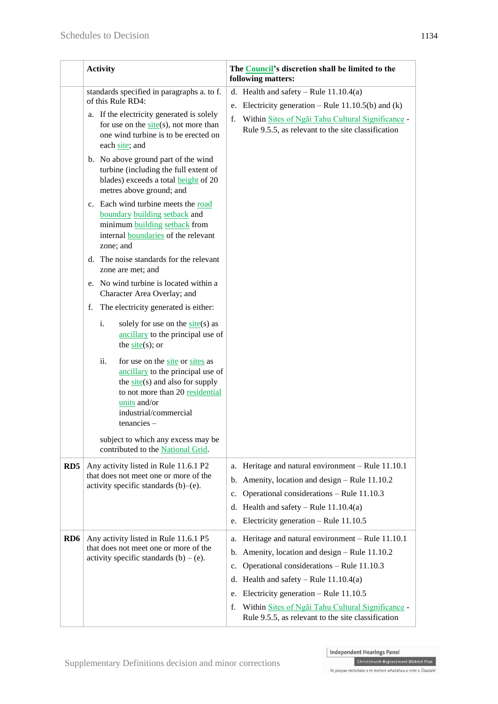|                  | <b>Activity</b>                                                                                                                                                                                                                                                                                                                                                                                                                                                                                                                                                                                                                                                                                                                                                                                                                                                                                                                                                                                                                                                                                                    | The <b>Council's</b> discretion shall be limited to the<br>following matters:                                                                                                                                                                                                                                                                                                  |  |  |
|------------------|--------------------------------------------------------------------------------------------------------------------------------------------------------------------------------------------------------------------------------------------------------------------------------------------------------------------------------------------------------------------------------------------------------------------------------------------------------------------------------------------------------------------------------------------------------------------------------------------------------------------------------------------------------------------------------------------------------------------------------------------------------------------------------------------------------------------------------------------------------------------------------------------------------------------------------------------------------------------------------------------------------------------------------------------------------------------------------------------------------------------|--------------------------------------------------------------------------------------------------------------------------------------------------------------------------------------------------------------------------------------------------------------------------------------------------------------------------------------------------------------------------------|--|--|
|                  | standards specified in paragraphs a. to f.<br>of this Rule RD4:<br>a. If the electricity generated is solely<br>for use on the $site(s)$ , not more than<br>one wind turbine is to be erected on<br>each site; and<br>b. No above ground part of the wind<br>turbine (including the full extent of<br>blades) exceeds a total <b>height</b> of 20<br>metres above ground; and<br>c. Each wind turbine meets the road<br>boundary building setback and<br>minimum building setback from<br>internal boundaries of the relevant<br>zone; and<br>d. The noise standards for the relevant<br>zone are met; and<br>e. No wind turbine is located within a<br>Character Area Overlay; and<br>The electricity generated is either:<br>f.<br>i.<br>solely for use on the $site(s)$ as<br>ancillary to the principal use of<br>the $site(s)$ ; or<br>ii.<br>for use on the site or sites as<br>ancillary to the principal use of<br>the $\frac{site(s)}{safe(s)}$ and also for supply<br>to not more than 20 residential<br>units and/or<br>industrial/commercial<br>$t$ enancies $-$<br>subject to which any excess may be | d. Health and safety – Rule $11.10.4(a)$<br>e. Electricity generation – Rule $11.10.5(b)$ and (k)<br>f.<br>Within Sites of Ngai Tahu Cultural Significance -<br>Rule 9.5.5, as relevant to the site classification                                                                                                                                                             |  |  |
| R <sub>D</sub> 5 | contributed to the National Grid.<br>Any activity listed in Rule 11.6.1 P2<br>that does not meet one or more of the<br>activity specific standards $(b)$ – $(e)$ .                                                                                                                                                                                                                                                                                                                                                                                                                                                                                                                                                                                                                                                                                                                                                                                                                                                                                                                                                 | Heritage and natural environment - Rule 11.10.1<br>a.<br>Amenity, location and design - Rule 11.10.2<br>b.<br>Operational considerations - Rule 11.10.3<br>c.<br>d. Health and safety – Rule $11.10.4(a)$<br>Electricity generation - Rule 11.10.5<br>e.                                                                                                                       |  |  |
| RD <sub>6</sub>  | Any activity listed in Rule 11.6.1 P5<br>that does not meet one or more of the<br>activity specific standards $(b) - (e)$ .                                                                                                                                                                                                                                                                                                                                                                                                                                                                                                                                                                                                                                                                                                                                                                                                                                                                                                                                                                                        | Heritage and natural environment - Rule 11.10.1<br>a.<br>Amenity, location and design - Rule 11.10.2<br>b.<br>Operational considerations - Rule 11.10.3<br>c.<br>Health and safety – Rule $11.10.4(a)$<br>d.<br>Electricity generation – Rule $11.10.5$<br>e.<br>Within Sites of Ngai Tahu Cultural Significance -<br>f.<br>Rule 9.5.5, as relevant to the site classification |  |  |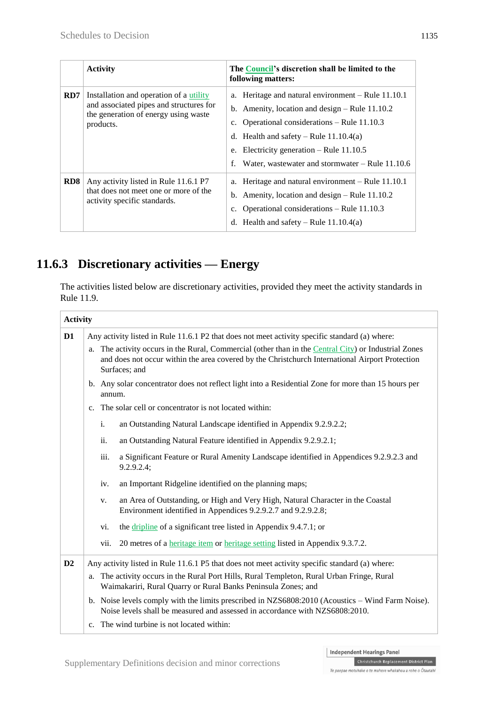|     | <b>Activity</b>                                                                                                                         | The Council's discretion shall be limited to the<br>following matters:                                                                                                                                                                                                                                                   |
|-----|-----------------------------------------------------------------------------------------------------------------------------------------|--------------------------------------------------------------------------------------------------------------------------------------------------------------------------------------------------------------------------------------------------------------------------------------------------------------------------|
| RD7 | Installation and operation of a utility<br>and associated pipes and structures for<br>the generation of energy using waste<br>products. | a. Heritage and natural environment – Rule 11.10.1<br>b. Amenity, location and design $-$ Rule 11.10.2<br>Operational considerations – Rule 11.10.3<br>$c_{\cdot}$<br>d. Health and safety – Rule $11.10.4(a)$<br>e. Electricity generation – Rule $11.10.5$<br>Water, was tewater and stormwater $-$ Rule 11.10.6<br>f. |
| RD8 | Any activity listed in Rule 11.6.1 P7<br>that does not meet one or more of the<br>activity specific standards.                          | a. Heritage and natural environment – Rule 11.10.1<br>b. Amenity, location and design $-$ Rule 11.10.2<br>Operational considerations – Rule 11.10.3<br>$c_{\cdot}$<br>d. Health and safety – Rule $11.10.4(a)$                                                                                                           |

## **11.6.3 Discretionary activities — Energy**

The activities listed below are discretionary activities, provided they meet the activity standards in Rule 11.9.

| <b>Activity</b> |    |                |                                                                                                                                                                                                                          |
|-----------------|----|----------------|--------------------------------------------------------------------------------------------------------------------------------------------------------------------------------------------------------------------------|
| D <sub>1</sub>  |    |                | Any activity listed in Rule 11.6.1 P2 that does not meet activity specific standard (a) where:                                                                                                                           |
|                 |    |                | a. The activity occurs in the Rural, Commercial (other than in the Central City) or Industrial Zones<br>and does not occur within the area covered by the Christchurch International Airport Protection<br>Surfaces; and |
|                 |    | annum.         | b. Any solar concentrator does not reflect light into a Residential Zone for more than 15 hours per                                                                                                                      |
|                 |    |                | c. The solar cell or concentrator is not located within:                                                                                                                                                                 |
|                 |    | $\mathbf{i}$ . | an Outstanding Natural Landscape identified in Appendix 9.2.9.2.2;                                                                                                                                                       |
|                 |    | ii.            | an Outstanding Natural Feature identified in Appendix 9.2.9.2.1;                                                                                                                                                         |
|                 |    | iii.           | a Significant Feature or Rural Amenity Landscape identified in Appendices 9.2.9.2.3 and<br>9.2.9.2.4;                                                                                                                    |
|                 |    | iv.            | an Important Ridgeline identified on the planning maps;                                                                                                                                                                  |
|                 |    | V.             | an Area of Outstanding, or High and Very High, Natural Character in the Coastal<br>Environment identified in Appendices 9.2.9.2.7 and 9.2.9.2.8;                                                                         |
|                 |    | vi.            | the dripline of a significant tree listed in Appendix 9.4.7.1; or                                                                                                                                                        |
|                 |    | vii.           | 20 metres of a <u>heritage item</u> or heritage setting listed in Appendix 9.3.7.2.                                                                                                                                      |
| D2              |    |                | Any activity listed in Rule 11.6.1 P5 that does not meet activity specific standard (a) where:                                                                                                                           |
|                 | a. |                | The activity occurs in the Rural Port Hills, Rural Templeton, Rural Urban Fringe, Rural<br>Waimakariri, Rural Quarry or Rural Banks Peninsula Zones; and                                                                 |
|                 |    |                | b. Noise levels comply with the limits prescribed in NZS6808:2010 (Acoustics – Wind Farm Noise).<br>Noise levels shall be measured and assessed in accordance with NZS6808:2010.                                         |
|                 |    |                | c. The wind turbine is not located within:                                                                                                                                                                               |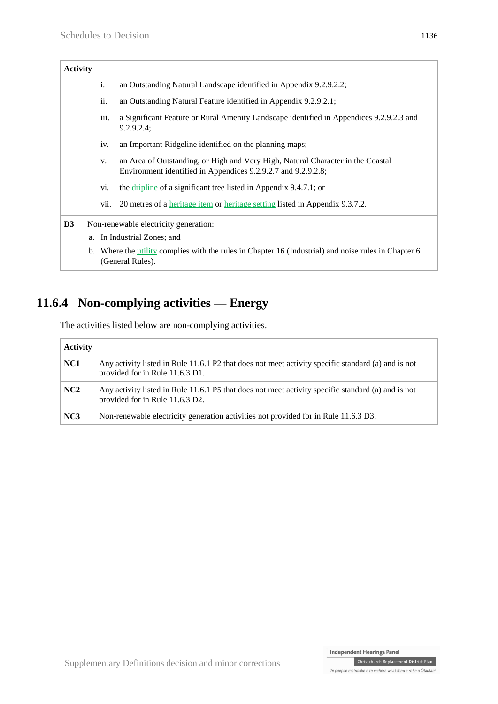| <b>Activity</b> |      |                                                                                                                                                  |
|-----------------|------|--------------------------------------------------------------------------------------------------------------------------------------------------|
|                 | i.   | an Outstanding Natural Landscape identified in Appendix 9.2.9.2.2;                                                                               |
|                 | ii.  | an Outstanding Natural Feature identified in Appendix 9.2.9.2.1;                                                                                 |
|                 | iii. | a Significant Feature or Rural Amenity Landscape identified in Appendices 9.2.9.2.3 and<br>$9.2.9.2.4$ ;                                         |
|                 | iv.  | an Important Ridgeline identified on the planning maps;                                                                                          |
|                 | V.   | an Area of Outstanding, or High and Very High, Natural Character in the Coastal<br>Environment identified in Appendices 9.2.9.2.7 and 9.2.9.2.8; |
|                 | vi.  | the dripline of a significant tree listed in Appendix 9.4.7.1; or                                                                                |
|                 | vii. | 20 metres of a <u>heritage item</u> or heritage setting listed in Appendix 9.3.7.2.                                                              |
| D3              |      | Non-renewable electricity generation:                                                                                                            |
|                 | a.   | In Industrial Zones; and                                                                                                                         |
|                 |      | b. Where the utility complies with the rules in Chapter 16 (Industrial) and noise rules in Chapter 6<br>(General Rules).                         |

## **11.6.4 Non-complying activities — Energy**

The activities listed below are non-complying activities.

| <b>Activity</b> |                                                                                                                                       |
|-----------------|---------------------------------------------------------------------------------------------------------------------------------------|
| NC <sub>1</sub> | Any activity listed in Rule 11.6.1 P2 that does not meet activity specific standard (a) and is not<br>provided for in Rule 11.6.3 D1. |
| NC2             | Any activity listed in Rule 11.6.1 P5 that does not meet activity specific standard (a) and is not<br>provided for in Rule 11.6.3 D2. |
| NC3             | Non-renewable electricity generation activities not provided for in Rule 11.6.3 D3.                                                   |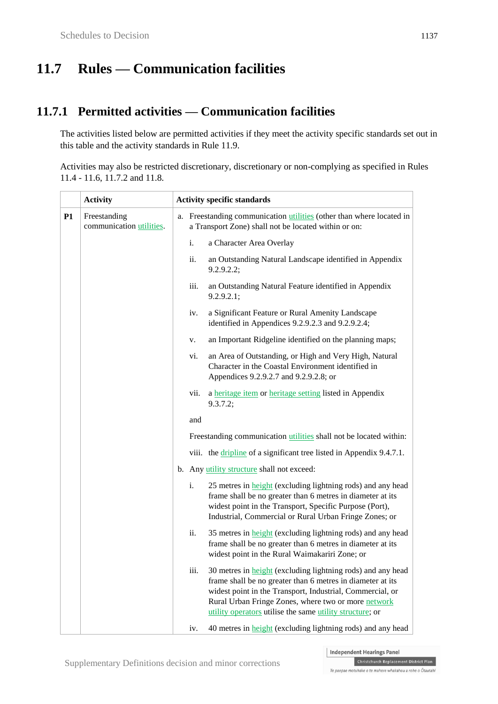# **11.7 Rules — Communication facilities**

#### **11.7.1 Permitted activities — Communication facilities**

The activities listed below are permitted activities if they meet the activity specific standards set out in this table and the activity standards in Rule 11.9.

Activities may also be restricted discretionary, discretionary or non-complying as specified in Rules 11.4 - 11.6, 11.7.2 and 11.8.

|           | <b>Activity</b>                          | <b>Activity specific standards</b> |                                                                                                                                                                                                                                                                                                                  |  |
|-----------|------------------------------------------|------------------------------------|------------------------------------------------------------------------------------------------------------------------------------------------------------------------------------------------------------------------------------------------------------------------------------------------------------------|--|
| <b>P1</b> | Freestanding<br>communication utilities. |                                    | a. Freestanding communication <i>utilities</i> (other than where located in<br>a Transport Zone) shall not be located within or on:                                                                                                                                                                              |  |
|           |                                          | i.                                 | a Character Area Overlay                                                                                                                                                                                                                                                                                         |  |
|           |                                          | ii.                                | an Outstanding Natural Landscape identified in Appendix<br>9.2.9.2.2;                                                                                                                                                                                                                                            |  |
|           |                                          | iii.                               | an Outstanding Natural Feature identified in Appendix<br>9.2.9.2.1;                                                                                                                                                                                                                                              |  |
|           |                                          | iv.                                | a Significant Feature or Rural Amenity Landscape<br>identified in Appendices 9.2.9.2.3 and 9.2.9.2.4;                                                                                                                                                                                                            |  |
|           |                                          | V.                                 | an Important Ridgeline identified on the planning maps;                                                                                                                                                                                                                                                          |  |
|           |                                          | vi.                                | an Area of Outstanding, or High and Very High, Natural<br>Character in the Coastal Environment identified in<br>Appendices 9.2.9.2.7 and 9.2.9.2.8; or                                                                                                                                                           |  |
|           |                                          | vii.                               | a heritage item or heritage setting listed in Appendix<br>9.3.7.2;                                                                                                                                                                                                                                               |  |
|           |                                          | and                                |                                                                                                                                                                                                                                                                                                                  |  |
|           |                                          |                                    | Freestanding communication <i>utilities</i> shall not be located within:                                                                                                                                                                                                                                         |  |
|           |                                          |                                    | viii. the dripline of a significant tree listed in Appendix 9.4.7.1.                                                                                                                                                                                                                                             |  |
|           |                                          |                                    | b. Any <i>utility structure</i> shall not exceed:                                                                                                                                                                                                                                                                |  |
|           |                                          | i.                                 | 25 metres in <b>height</b> (excluding lightning rods) and any head<br>frame shall be no greater than 6 metres in diameter at its<br>widest point in the Transport, Specific Purpose (Port),<br>Industrial, Commercial or Rural Urban Fringe Zones; or                                                            |  |
|           |                                          | ii.                                | 35 metres in <b>height</b> (excluding lightning rods) and any head<br>frame shall be no greater than 6 metres in diameter at its<br>widest point in the Rural Waimakariri Zone; or                                                                                                                               |  |
|           |                                          | iii.                               | 30 metres in <b>height</b> (excluding lightning rods) and any head<br>frame shall be no greater than 6 metres in diameter at its<br>widest point in the Transport, Industrial, Commercial, or<br>Rural Urban Fringe Zones, where two or more network<br>utility operators utilise the same utility structure; or |  |
|           |                                          | iv.                                | 40 metres in height (excluding lightning rods) and any head                                                                                                                                                                                                                                                      |  |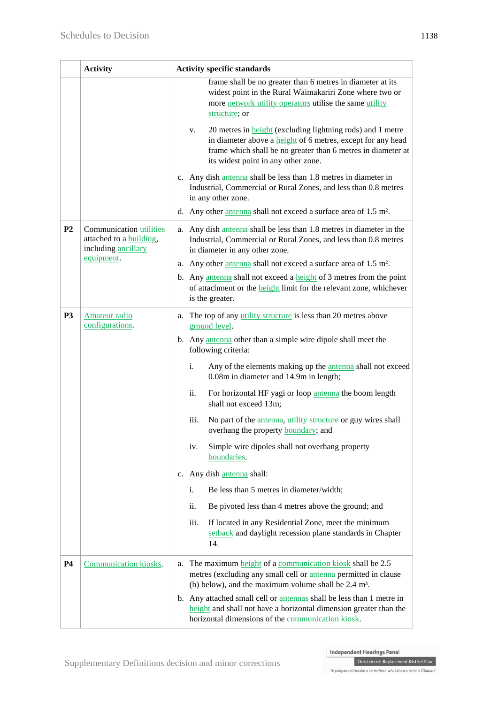|                | <b>Activity</b>                                                                  | <b>Activity specific standards</b>                                                                                                                                                                                                                   |
|----------------|----------------------------------------------------------------------------------|------------------------------------------------------------------------------------------------------------------------------------------------------------------------------------------------------------------------------------------------------|
|                |                                                                                  | frame shall be no greater than 6 metres in diameter at its<br>widest point in the Rural Waimakariri Zone where two or<br>more network utility operators utilise the same utility<br>structure; or                                                    |
|                |                                                                                  | 20 metres in <b>height</b> (excluding lightning rods) and 1 metre<br>v.<br>in diameter above a <b>height</b> of 6 metres, except for any head<br>frame which shall be no greater than 6 metres in diameter at<br>its widest point in any other zone. |
|                |                                                                                  | c. Any dish antenna shall be less than 1.8 metres in diameter in<br>Industrial, Commercial or Rural Zones, and less than 0.8 metres<br>in any other zone.                                                                                            |
|                |                                                                                  | d. Any other antenna shall not exceed a surface area of 1.5 m <sup>2</sup> .                                                                                                                                                                         |
| P <sub>2</sub> | <b>Communication utilities</b><br>attached to a building,<br>including ancillary | a. Any dish antenna shall be less than 1.8 metres in diameter in the<br>Industrial, Commercial or Rural Zones, and less than 0.8 metres<br>in diameter in any other zone.                                                                            |
|                | equipment.                                                                       | a. Any other antenna shall not exceed a surface area of 1.5 m <sup>2</sup> .                                                                                                                                                                         |
|                |                                                                                  | b. Any antenna shall not exceed a height of 3 metres from the point<br>of attachment or the <b>height</b> limit for the relevant zone, whichever<br>is the greater.                                                                                  |
| <b>P3</b>      | <b>Amateur radio</b><br>configurations.                                          | The top of any utility structure is less than 20 metres above<br>a.<br>ground level.                                                                                                                                                                 |
|                |                                                                                  | b. Any antenna other than a simple wire dipole shall meet the<br>following criteria:                                                                                                                                                                 |
|                |                                                                                  | Any of the elements making up the <i>antenna</i> shall not exceed<br>i.<br>0.08m in diameter and 14.9m in length;                                                                                                                                    |
|                |                                                                                  | ii.<br>For horizontal HF yagi or loop antenna the boom length<br>shall not exceed 13m;                                                                                                                                                               |
|                |                                                                                  | iii.<br>No part of the <i>antenna</i> , <i>utility structure</i> or guy wires shall<br>overhang the property <b>boundary</b> ; and                                                                                                                   |
|                |                                                                                  | Simple wire dipoles shall not overhang property<br>iv.<br>boundaries.                                                                                                                                                                                |
|                |                                                                                  | c. Any dish antenna shall:                                                                                                                                                                                                                           |
|                |                                                                                  | i.<br>Be less than 5 metres in diameter/width;                                                                                                                                                                                                       |
|                |                                                                                  | ii.<br>Be pivoted less than 4 metres above the ground; and                                                                                                                                                                                           |
|                |                                                                                  | iii.<br>If located in any Residential Zone, meet the minimum<br>setback and daylight recession plane standards in Chapter<br>14.                                                                                                                     |
| <b>P4</b>      | Communication kiosks.                                                            | The maximum height of a communication kiosk shall be 2.5<br>a.<br>metres (excluding any small cell or <i>antenna</i> permitted in clause<br>(b) below), and the maximum volume shall be $2.4 \text{ m}^3$ .                                          |
|                |                                                                                  | b. Any attached small cell or antennas shall be less than 1 metre in<br>height and shall not have a horizontal dimension greater than the<br>horizontal dimensions of the communication kiosk.                                                       |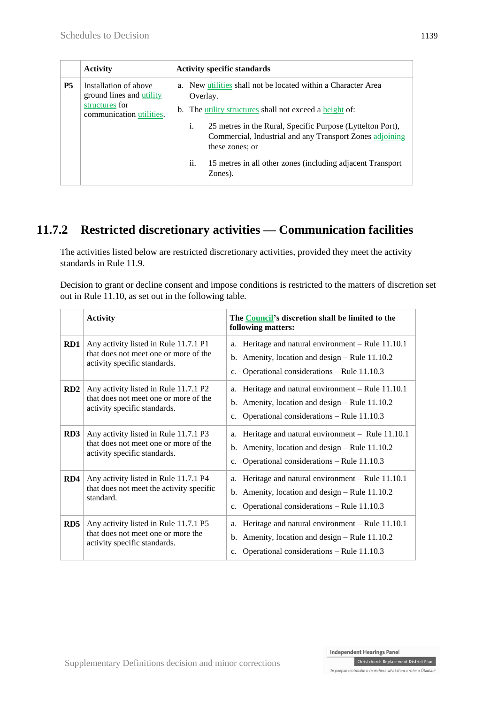|           | <b>Activity</b>                                                                                 | <b>Activity specific standards</b>                                                                                                                                                                                                                                                                                                                                      |  |
|-----------|-------------------------------------------------------------------------------------------------|-------------------------------------------------------------------------------------------------------------------------------------------------------------------------------------------------------------------------------------------------------------------------------------------------------------------------------------------------------------------------|--|
| <b>P5</b> | Installation of above<br>ground lines and utility<br>structures for<br>communication utilities. | a. New utilities shall not be located within a Character Area<br>Overlay.<br>b. The utility structures shall not exceed a height of:<br>i.<br>25 metres in the Rural, Specific Purpose (Lyttelton Port),<br>Commercial, Industrial and any Transport Zones adjoining<br>these zones; or<br>ii.<br>15 metres in all other zones (including adjacent Transport<br>Zones). |  |

### **11.7.2 Restricted discretionary activities — Communication facilities**

The activities listed below are restricted discretionary activities, provided they meet the activity standards in Rule 11.9.

Decision to grant or decline consent and impose conditions is restricted to the matters of discretion set out in Rule 11.10, as set out in the following table.

|     | <b>Activity</b>                                                                                                | The Council's discretion shall be limited to the<br>following matters:                                                                                                 |
|-----|----------------------------------------------------------------------------------------------------------------|------------------------------------------------------------------------------------------------------------------------------------------------------------------------|
| RD1 | Any activity listed in Rule 11.7.1 P1<br>that does not meet one or more of the<br>activity specific standards. | Heritage and natural environment - Rule 11.10.1<br>a.<br>Amenity, location and design – Rule 11.10.2<br>b.<br>Operational considerations – Rule 11.10.3<br>c.          |
| RD2 | Any activity listed in Rule 11.7.1 P2<br>that does not meet one or more of the<br>activity specific standards. | Heritage and natural environment $-$ Rule 11.10.1<br>a.<br>Amenity, location and design – Rule 11.10.2<br>b.<br>Operational considerations – Rule 11.10.3<br>c.        |
| RD3 | Any activity listed in Rule 11.7.1 P3<br>that does not meet one or more of the<br>activity specific standards. | Heritage and natural environment - Rule 11.10.1<br>a.<br>Amenity, location and design – Rule 11.10.2<br>b.<br>Operational considerations – Rule 11.10.3<br>c.          |
| RD4 | Any activity listed in Rule 11.7.1 P4<br>that does not meet the activity specific<br>standard.                 | Heritage and natural environment - Rule 11.10.1<br>a.<br>Amenity, location and design – Rule 11.10.2<br>b.<br>Operational considerations - Rule 11.10.3<br>c.          |
| RD5 | Any activity listed in Rule 11.7.1 P5<br>that does not meet one or more the<br>activity specific standards.    | Heritage and natural environment – Rule 11.10.1<br>a.<br>Amenity, location and design – Rule 11.10.2<br>b.<br>Operational considerations – Rule 11.10.3<br>$c_{\cdot}$ |

Christchurch Replacement District Plan Te paepae motuhake o te mahere whakahou a rohe o Ōtautahi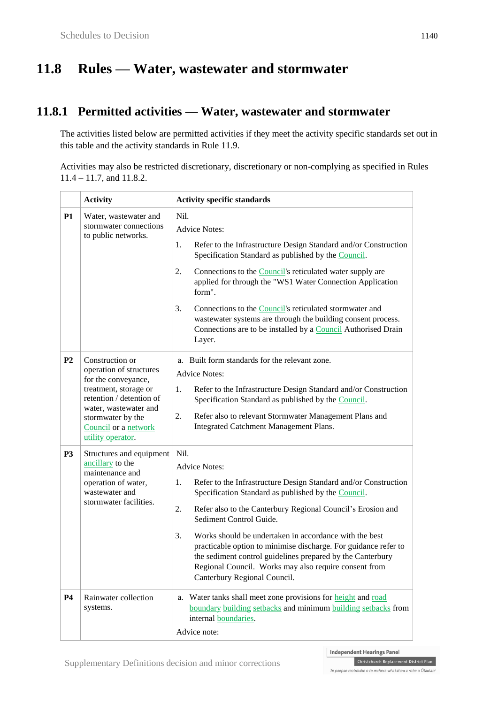# **11.8 Rules — Water, wastewater and stormwater**

### **11.8.1 Permitted activities — Water, wastewater and stormwater**

The activities listed below are permitted activities if they meet the activity specific standards set out in this table and the activity standards in Rule 11.9.

Activities may also be restricted discretionary, discretionary or non-complying as specified in Rules 11.4 – 11.7, and 11.8.2.

|                | <b>Activity</b>                                                                                                                                                                                                   | <b>Activity specific standards</b>                                                                                                                                                                                                                                                                                                                                                                                                                                                                                                                     |
|----------------|-------------------------------------------------------------------------------------------------------------------------------------------------------------------------------------------------------------------|--------------------------------------------------------------------------------------------------------------------------------------------------------------------------------------------------------------------------------------------------------------------------------------------------------------------------------------------------------------------------------------------------------------------------------------------------------------------------------------------------------------------------------------------------------|
| <b>P1</b>      | Water, wastewater and<br>stormwater connections<br>to public networks.                                                                                                                                            | Nil.<br><b>Advice Notes:</b>                                                                                                                                                                                                                                                                                                                                                                                                                                                                                                                           |
|                |                                                                                                                                                                                                                   | Refer to the Infrastructure Design Standard and/or Construction<br>1.<br>Specification Standard as published by the Council.                                                                                                                                                                                                                                                                                                                                                                                                                           |
|                |                                                                                                                                                                                                                   | Connections to the Council's reticulated water supply are<br>2.<br>applied for through the "WS1 Water Connection Application<br>form".                                                                                                                                                                                                                                                                                                                                                                                                                 |
|                |                                                                                                                                                                                                                   | 3.<br>Connections to the <b>Council</b> 's reticulated stormwater and<br>wastewater systems are through the building consent process.<br>Connections are to be installed by a Council Authorised Drain<br>Layer.                                                                                                                                                                                                                                                                                                                                       |
| P <sub>2</sub> | Construction or<br>operation of structures<br>for the conveyance,<br>treatment, storage or<br>retention / detention of<br>water, wastewater and<br>stormwater by the<br>Council or a network<br>utility operator. | a. Built form standards for the relevant zone.<br><b>Advice Notes:</b><br>Refer to the Infrastructure Design Standard and/or Construction<br>1.<br>Specification Standard as published by the Council.<br>2.<br>Refer also to relevant Stormwater Management Plans and<br>Integrated Catchment Management Plans.                                                                                                                                                                                                                                       |
| P <sub>3</sub> | Structures and equipment<br>ancillary to the<br>maintenance and<br>operation of water,<br>wastewater and<br>stormwater facilities.                                                                                | Nil.<br><b>Advice Notes:</b><br>Refer to the Infrastructure Design Standard and/or Construction<br>1.<br>Specification Standard as published by the Council.<br>2.<br>Refer also to the Canterbury Regional Council's Erosion and<br>Sediment Control Guide.<br>3.<br>Works should be undertaken in accordance with the best<br>practicable option to minimise discharge. For guidance refer to<br>the sediment control guidelines prepared by the Canterbury<br>Regional Council. Works may also require consent from<br>Canterbury Regional Council. |
| P <sub>4</sub> | Rainwater collection<br>systems.                                                                                                                                                                                  | a. Water tanks shall meet zone provisions for <b>height</b> and road<br>boundary building setbacks and minimum building setbacks from<br>internal boundaries.<br>Advice note:                                                                                                                                                                                                                                                                                                                                                                          |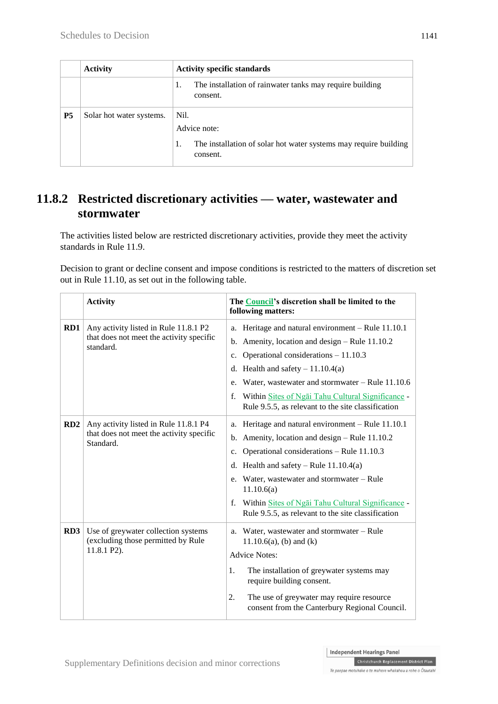|           | <b>Activity</b>          | <b>Activity specific standards</b>                                                                   |
|-----------|--------------------------|------------------------------------------------------------------------------------------------------|
|           |                          | The installation of rainwater tanks may require building<br>consent.                                 |
| <b>P5</b> | Solar hot water systems. | Nil.<br>Advice note:<br>The installation of solar hot water systems may require building<br>consent. |

### **11.8.2 Restricted discretionary activities — water, wastewater and stormwater**

The activities listed below are restricted discretionary activities, provide they meet the activity standards in Rule 11.9.

Decision to grant or decline consent and impose conditions is restricted to the matters of discretion set out in Rule 11.10, as set out in the following table.

|     | <b>Activity</b>                                                                                | The <b>Council's</b> discretion shall be limited to the<br>following matters:                                                                                                                                                                                                                                                                                                             |
|-----|------------------------------------------------------------------------------------------------|-------------------------------------------------------------------------------------------------------------------------------------------------------------------------------------------------------------------------------------------------------------------------------------------------------------------------------------------------------------------------------------------|
| RD1 | Any activity listed in Rule 11.8.1 P2<br>that does not meet the activity specific<br>standard. | a. Heritage and natural environment - Rule 11.10.1<br>Amenity, location and design – Rule 11.10.2<br>b.<br>Operational considerations $-11.10.3$<br>c.<br>d. Health and safety $-11.10.4(a)$<br>Water, wastewater and stormwater $-$ Rule 11.10.6<br>e.<br>Within Sites of Ngai Tahu Cultural Significance -<br>f.<br>Rule 9.5.5, as relevant to the site classification                  |
| RD2 | Any activity listed in Rule 11.8.1 P4<br>that does not meet the activity specific<br>Standard. | Heritage and natural environment - Rule 11.10.1<br>a.<br>Amenity, location and design - Rule 11.10.2<br>b.<br>Operational considerations - Rule 11.10.3<br>c.<br>Health and safety – Rule $11.10.4(a)$<br>d.<br>e. Water, wastewater and stormwater - Rule<br>11.10.6(a)<br>Within Sites of Ngai Tahu Cultural Significance -<br>f.<br>Rule 9.5.5, as relevant to the site classification |
| RD3 | Use of greywater collection systems<br>(excluding those permitted by Rule<br>11.8.1 P2).       | a. Water, wastewater and stormwater - Rule<br>$11.10.6(a)$ , (b) and (k)<br><b>Advice Notes:</b><br>The installation of greywater systems may<br>1.<br>require building consent.<br>2.<br>The use of greywater may require resource<br>consent from the Canterbury Regional Council.                                                                                                      |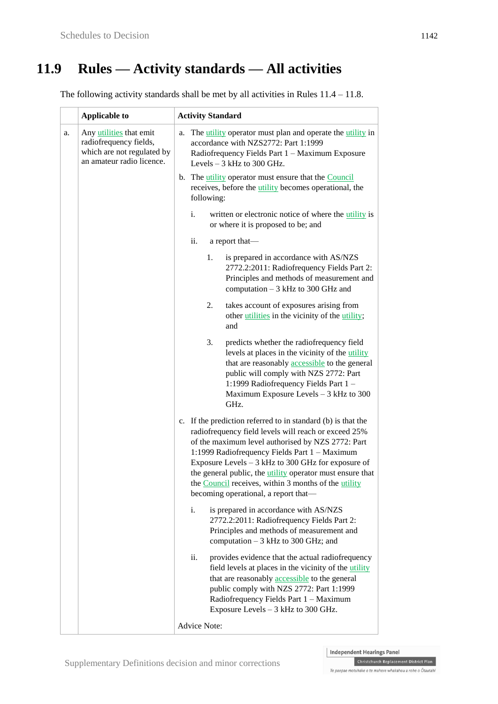# **11.9 Rules — Activity standards — All activities**

The following activity standards shall be met by all activities in Rules 11.4 – 11.8.

|    | <b>Applicable to</b>                                                                                         | <b>Activity Standard</b>                                                                                                                                                                                                                                                                                                                                                                                                                              |
|----|--------------------------------------------------------------------------------------------------------------|-------------------------------------------------------------------------------------------------------------------------------------------------------------------------------------------------------------------------------------------------------------------------------------------------------------------------------------------------------------------------------------------------------------------------------------------------------|
| a. | Any utilities that emit<br>radiofrequency fields,<br>which are not regulated by<br>an amateur radio licence. | The utility operator must plan and operate the utility in<br>a.<br>accordance with NZS2772: Part 1:1999<br>Radiofrequency Fields Part 1 - Maximum Exposure<br>Levels $-3$ kHz to 300 GHz.                                                                                                                                                                                                                                                             |
|    |                                                                                                              | b. The utility operator must ensure that the Council<br>receives, before the <i>utility</i> becomes operational, the<br>following:                                                                                                                                                                                                                                                                                                                    |
|    |                                                                                                              | written or electronic notice of where the utility is<br>i.<br>or where it is proposed to be; and                                                                                                                                                                                                                                                                                                                                                      |
|    |                                                                                                              | ii.<br>a report that-                                                                                                                                                                                                                                                                                                                                                                                                                                 |
|    |                                                                                                              | is prepared in accordance with AS/NZS<br>1.<br>2772.2:2011: Radiofrequency Fields Part 2:<br>Principles and methods of measurement and<br>computation $-3$ kHz to 300 GHz and                                                                                                                                                                                                                                                                         |
|    |                                                                                                              | takes account of exposures arising from<br>2.<br>other utilities in the vicinity of the utility;<br>and                                                                                                                                                                                                                                                                                                                                               |
|    |                                                                                                              | 3.<br>predicts whether the radiofrequency field<br>levels at places in the vicinity of the utility<br>that are reasonably <b>accessible</b> to the general<br>public will comply with NZS 2772: Part<br>1:1999 Radiofrequency Fields Part 1-<br>Maximum Exposure Levels - 3 kHz to 300<br>GHz.                                                                                                                                                        |
|    |                                                                                                              | c. If the prediction referred to in standard (b) is that the<br>radiofrequency field levels will reach or exceed 25%<br>of the maximum level authorised by NZS 2772: Part<br>1:1999 Radiofrequency Fields Part 1 - Maximum<br>Exposure Levels $-3$ kHz to 300 GHz for exposure of<br>the general public, the <i>utility</i> operator must ensure that<br>the Council receives, within 3 months of the utility<br>becoming operational, a report that— |
|    |                                                                                                              | is prepared in accordance with AS/NZS<br>i.<br>2772.2:2011: Radiofrequency Fields Part 2:<br>Principles and methods of measurement and<br>computation - 3 kHz to 300 GHz; and                                                                                                                                                                                                                                                                         |
|    |                                                                                                              | ii.<br>provides evidence that the actual radiofrequency<br>field levels at places in the vicinity of the utility<br>that are reasonably <b>accessible</b> to the general<br>public comply with NZS 2772: Part 1:1999<br>Radiofrequency Fields Part 1 - Maximum<br>Exposure Levels - 3 kHz to 300 GHz.                                                                                                                                                 |
|    |                                                                                                              | <b>Advice Note:</b>                                                                                                                                                                                                                                                                                                                                                                                                                                   |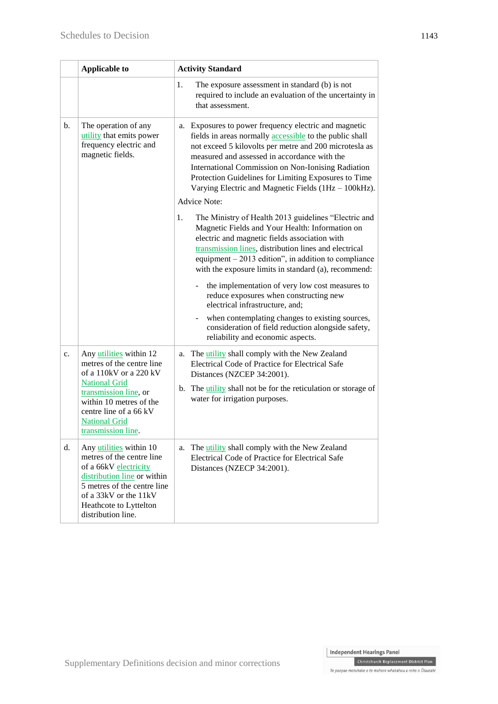|    | <b>Applicable to</b>                                                                                                                                                                                                               | <b>Activity Standard</b>                                                                                                                                                                                                                                                                                                                                                                            |
|----|------------------------------------------------------------------------------------------------------------------------------------------------------------------------------------------------------------------------------------|-----------------------------------------------------------------------------------------------------------------------------------------------------------------------------------------------------------------------------------------------------------------------------------------------------------------------------------------------------------------------------------------------------|
|    |                                                                                                                                                                                                                                    | 1.<br>The exposure assessment in standard (b) is not<br>required to include an evaluation of the uncertainty in<br>that assessment.                                                                                                                                                                                                                                                                 |
| b. | The operation of any<br>utility that emits power<br>frequency electric and<br>magnetic fields.                                                                                                                                     | Exposures to power frequency electric and magnetic<br>a.<br>fields in areas normally accessible to the public shall<br>not exceed 5 kilovolts per metre and 200 microtesla as<br>measured and assessed in accordance with the<br>International Commission on Non-Ionising Radiation<br>Protection Guidelines for Limiting Exposures to Time<br>Varying Electric and Magnetic Fields (1Hz - 100kHz). |
|    |                                                                                                                                                                                                                                    | <b>Advice Note:</b>                                                                                                                                                                                                                                                                                                                                                                                 |
|    |                                                                                                                                                                                                                                    | The Ministry of Health 2013 guidelines "Electric and<br>1.<br>Magnetic Fields and Your Health: Information on<br>electric and magnetic fields association with<br>transmission lines, distribution lines and electrical<br>equipment $-2013$ edition", in addition to compliance<br>with the exposure limits in standard (a), recommend:                                                            |
|    |                                                                                                                                                                                                                                    | the implementation of very low cost measures to<br>reduce exposures when constructing new<br>electrical infrastructure, and;                                                                                                                                                                                                                                                                        |
|    |                                                                                                                                                                                                                                    | when contemplating changes to existing sources,<br>consideration of field reduction alongside safety,<br>reliability and economic aspects.                                                                                                                                                                                                                                                          |
| c. | Any utilities within 12<br>metres of the centre line<br>of a 110kV or a 220 kV<br><b>National Grid</b><br>transmission line, or<br>within 10 metres of the<br>centre line of a 66 kV<br><b>National Grid</b><br>transmission line. | The utility shall comply with the New Zealand<br>a.<br>Electrical Code of Practice for Electrical Safe<br>Distances (NZCEP 34:2001).                                                                                                                                                                                                                                                                |
|    |                                                                                                                                                                                                                                    | b. The <i>utility</i> shall not be for the reticulation or storage of<br>water for irrigation purposes.                                                                                                                                                                                                                                                                                             |
| d. | Any utilities within 10<br>metres of the centre line<br>of a 66kV electricity<br>distribution line or within<br>5 metres of the centre line<br>of a 33kV or the 11kV<br>Heathcote to Lyttelton<br>distribution line.               | The <i>utility</i> shall comply with the New Zealand<br>a.<br>Electrical Code of Practice for Electrical Safe<br>Distances (NZECP 34:2001).                                                                                                                                                                                                                                                         |

Independent Hearings Panel Christchurch Replacement District Plan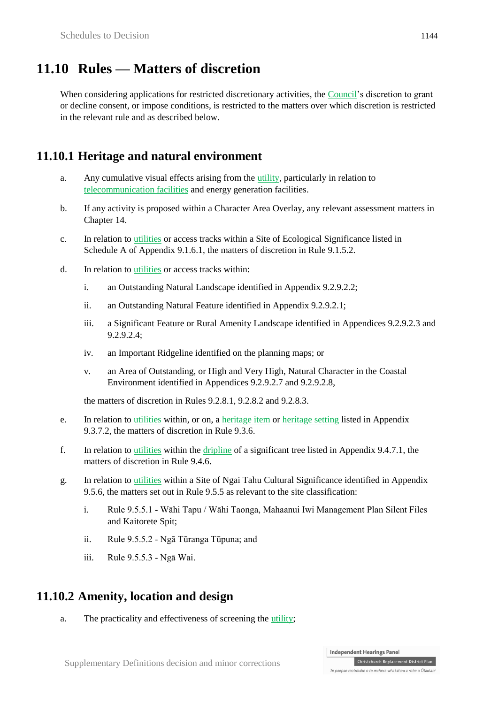### **11.10 Rules — Matters of discretion**

When considering applications for restricted discretionary activities, the Council's discretion to grant or decline consent, or impose conditions, is restricted to the matters over which discretion is restricted in the relevant rule and as described below.

#### **11.10.1 Heritage and natural environment**

- a. Any cumulative visual effects arising from the utility, particularly in relation to telecommunication facilities and energy generation facilities.
- b. If any activity is proposed within a Character Area Overlay, any relevant assessment matters in Chapter 14.
- c. In relation to utilities or access tracks within a Site of Ecological Significance listed in Schedule A of Appendix 9.1.6.1, the matters of discretion in Rule 9.1.5.2.
- d. In relation to utilities or access tracks within:
	- i. an Outstanding Natural Landscape identified in Appendix 9.2.9.2.2;
	- ii. an Outstanding Natural Feature identified in Appendix 9.2.9.2.1;
	- iii. a Significant Feature or Rural Amenity Landscape identified in Appendices 9.2.9.2.3 and 9.2.9.2.4;
	- iv. an Important Ridgeline identified on the planning maps; or
	- v. an Area of Outstanding, or High and Very High, Natural Character in the Coastal Environment identified in Appendices 9.2.9.2.7 and 9.2.9.2.8,

the matters of discretion in Rules 9.2.8.1, 9.2.8.2 and 9.2.8.3.

- e. In relation to utilities within, or on, a heritage item or heritage setting listed in Appendix 9.3.7.2, the matters of discretion in Rule 9.3.6.
- f. In relation to utilities within the dripline of a significant tree listed in Appendix 9.4.7.1, the matters of discretion in Rule 9.4.6.
- g. In relation to utilities within a Site of Ngai Tahu Cultural Significance identified in Appendix 9.5.6, the matters set out in Rule 9.5.5 as relevant to the site classification:
	- i. Rule 9.5.5.1 Wāhi Tapu / Wāhi Taonga, Mahaanui Iwi Management Plan Silent Files and Kaitorete Spit;
	- ii. Rule 9.5.5.2 Ngā Tūranga Tūpuna; and
	- iii. Rule 9.5.5.3 Ngā Wai.

#### **11.10.2 Amenity, location and design**

a. The practicality and effectiveness of screening the utility;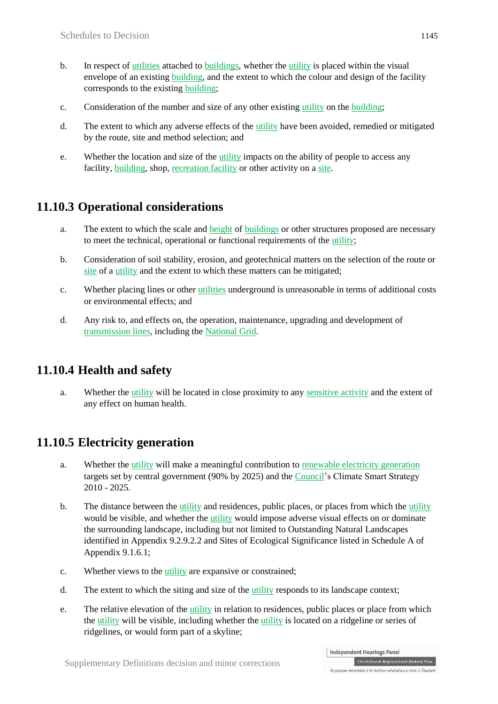- b. In respect of utilities attached to buildings, whether the utility is placed within the visual envelope of an existing **building**, and the extent to which the colour and design of the facility corresponds to the existing building;
- c. Consideration of the number and size of any other existing utility on the building;
- d. The extent to which any adverse effects of the utility have been avoided, remedied or mitigated by the route, site and method selection; and
- e. Whether the location and size of the utility impacts on the ability of people to access any facility, building, shop, recreation facility or other activity on a site.

### **11.10.3 Operational considerations**

- a. The extent to which the scale and height of buildings or other structures proposed are necessary to meet the technical, operational or functional requirements of the utility;
- b. Consideration of soil stability, erosion, and geotechnical matters on the selection of the route or site of a utility and the extent to which these matters can be mitigated;
- c. Whether placing lines or other utilities underground is unreasonable in terms of additional costs or environmental effects; and
- d. Any risk to, and effects on, the operation, maintenance, upgrading and development of transmission lines, including the National Grid.

#### **11.10.4 Health and safety**

a. Whether the utility will be located in close proximity to any sensitive activity and the extent of any effect on human health.

### **11.10.5 Electricity generation**

- a. Whether the utility will make a meaningful contribution to renewable electricity generation targets set by central government (90% by 2025) and the Council's Climate Smart Strategy 2010 - 2025.
- b. The distance between the utility and residences, public places, or places from which the utility would be visible, and whether the utility would impose adverse visual effects on or dominate the surrounding landscape, including but not limited to Outstanding Natural Landscapes identified in Appendix 9.2.9.2.2 and Sites of Ecological Significance listed in Schedule A of Appendix 9.1.6.1;
- c. Whether views to the utility are expansive or constrained;
- d. The extent to which the siting and size of the utility responds to its landscape context;
- e. The relative elevation of the utility in relation to residences, public places or place from which the utility will be visible, including whether the utility is located on a ridgeline or series of ridgelines, or would form part of a skyline;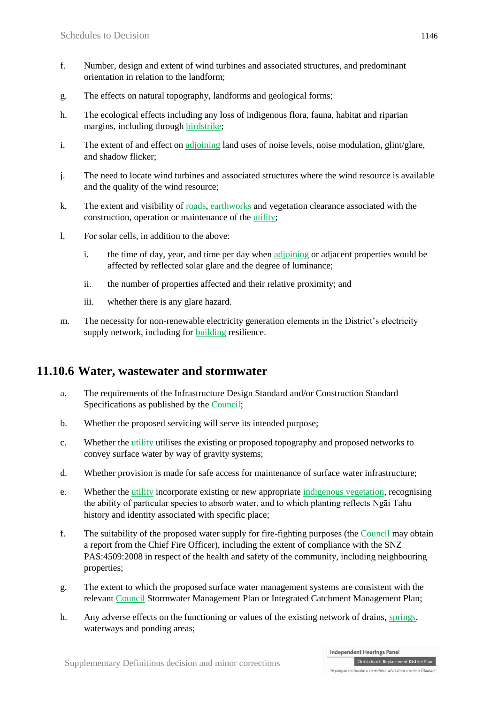- f. Number, design and extent of wind turbines and associated structures, and predominant orientation in relation to the landform;
- g. The effects on natural topography, landforms and geological forms;
- h. The ecological effects including any loss of indigenous flora, fauna, habitat and riparian margins, including through birdstrike;
- i. The extent of and effect on adjoining land uses of noise levels, noise modulation, glint/glare, and shadow flicker;
- j. The need to locate wind turbines and associated structures where the wind resource is available and the quality of the wind resource;
- k. The extent and visibility of roads, earthworks and vegetation clearance associated with the construction, operation or maintenance of the utility;
- l. For solar cells, in addition to the above:
	- i. the time of day, year, and time per day when adjoining or adjacent properties would be affected by reflected solar glare and the degree of luminance;
	- ii. the number of properties affected and their relative proximity; and
	- iii. whether there is any glare hazard.
- m. The necessity for non-renewable electricity generation elements in the District's electricity supply network, including for building resilience.

#### **11.10.6 Water, wastewater and stormwater**

- a. The requirements of the Infrastructure Design Standard and/or Construction Standard Specifications as published by the Council;
- b. Whether the proposed servicing will serve its intended purpose;
- c. Whether the utility utilises the existing or proposed topography and proposed networks to convey surface water by way of gravity systems;
- d. Whether provision is made for safe access for maintenance of surface water infrastructure;
- e. Whether the utility incorporate existing or new appropriate indigenous vegetation, recognising the ability of particular species to absorb water, and to which planting reflects Ngāi Tahu history and identity associated with specific place;
- f. The suitability of the proposed water supply for fire-fighting purposes (the Council may obtain a report from the Chief Fire Officer), including the extent of compliance with the SNZ PAS:4509:2008 in respect of the health and safety of the community, including neighbouring properties;
- g. The extent to which the proposed surface water management systems are consistent with the relevant Council Stormwater Management Plan or Integrated Catchment Management Plan;
- h. Any adverse effects on the functioning or values of the existing network of drains, springs, waterways and ponding areas;